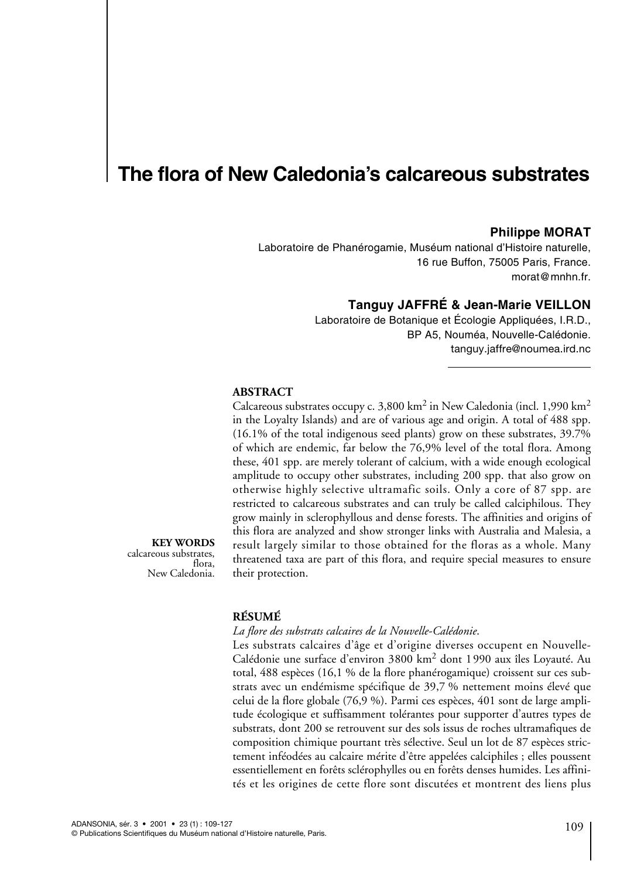# **The flora of New Caledonia's calcareous substrates**

## **Philippe MORAT**

Laboratoire de Phanérogamie, Muséum national d'Histoire naturelle, 16 rue Buffon, 75005 Paris, France. morat@mnhn.fr.

## **Tanguy JAFFRÉ & Jean-Marie VEILLON**

Laboratoire de Botanique et Écologie Appliquées, I.R.D., BP A5, Nouméa, Nouvelle-Calédonie. tanguy.jaffre@noumea.ird.nc

## **ABSTRACT**

Calcareous substrates occupy c.  $3,800 \text{ km}^2$  in New Caledonia (incl. 1,990 km<sup>2</sup>) in the Loyalty Islands) and are of various age and origin. A total of 488 spp. (16.1% of the total indigenous seed plants) grow on these substrates, 39.7% of which are endemic, far below the 76,9% level of the total flora. Among these, 401 spp. are merely tolerant of calcium, with a wide enough ecological amplitude to occupy other substrates, including 200 spp. that also grow on otherwise highly selective ultramafic soils. Only a core of 87 spp. are restricted to calcareous substrates and can truly be called calciphilous. They grow mainly in sclerophyllous and dense forests. The affinities and origins of this flora are analyzed and show stronger links with Australia and Malesia, a result largely similar to those obtained for the floras as a whole. Many threatened taxa are part of this flora, and require special measures to ensure their protection.

**KEY WORDS** calcareous substrates, flora, New Caledonia.

## **RÉSUMÉ**

#### *La flore des substrats calcaires de la Nouvelle-Calédonie*.

Les substrats calcaires d'âge et d'origine diverses occupent en Nouvelle-Calédonie une surface d'environ 3800 km<sup>2</sup> dont 1990 aux îles Loyauté. Au total, 488 espèces (16,1 % de la flore phanérogamique) croissent sur ces substrats avec un endémisme spécifique de 39,7 % nettement moins élevé que celui de la flore globale (76,9 %). Parmi ces espèces, 401 sont de large amplitude écologique et suffisamment tolérantes pour supporter d'autres types de substrats, dont 200 se retrouvent sur des sols issus de roches ultramafiques de composition chimique pourtant très sélective. Seul un lot de 87 espèces strictement inféodées au calcaire mérite d'être appelées calciphiles ; elles poussent essentiellement en forêts sclérophylles ou en forêts denses humides. Les affinités et les origines de cette flore sont discutées et montrent des liens plus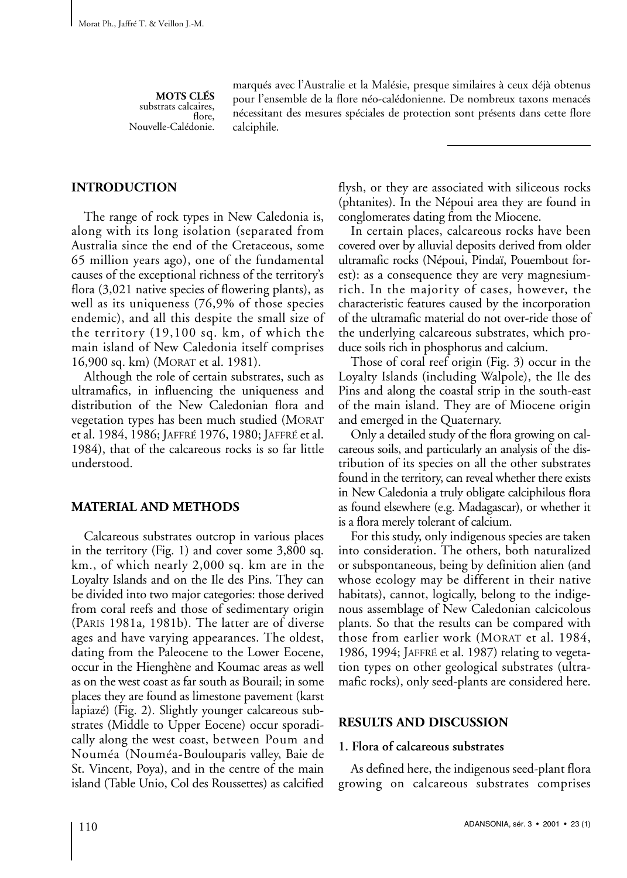**MOTS CLÉS** substrats calcaires, flore, Nouvelle-Calédonie. marqués avec l'Australie et la Malésie, presque similaires à ceux déjà obtenus pour l'ensemble de la flore néo-calédonienne. De nombreux taxons menacés nécessitant des mesures spéciales de protection sont présents dans cette flore calciphile.

## **INTRODUCTION**

The range of rock types in New Caledonia is, along with its long isolation (separated from Australia since the end of the Cretaceous, some 65 million years ago), one of the fundamental causes of the exceptional richness of the territory's flora (3,021 native species of flowering plants), as well as its uniqueness (76,9% of those species endemic), and all this despite the small size of the territory (19,100 sq. km, of which the main island of New Caledonia itself comprises 16,900 sq. km) (MORAT et al. 1981).

Although the role of certain substrates, such as ultramafics, in influencing the uniqueness and distribution of the New Caledonian flora and vegetation types has been much studied (MORAT et al. 1984, 1986; JAFFRÉ 1976, 1980; JAFFRÉ et al. 1984), that of the calcareous rocks is so far little understood.

## **MATERIAL AND METHODS**

Calcareous substrates outcrop in various places in the territory (Fig. 1) and cover some 3,800 sq. km., of which nearly 2,000 sq. km are in the Loyalty Islands and on the Ile des Pins. They can be divided into two major categories: those derived from coral reefs and those of sedimentary origin (PARIS 1981a, 1981b). The latter are of diverse ages and have varying appearances. The oldest, dating from the Paleocene to the Lower Eocene, occur in the Hienghène and Koumac areas as well as on the west coast as far south as Bourail; in some places they are found as limestone pavement (karst lapiazé) (Fig. 2). Slightly younger calcareous substrates (Middle to Upper Eocene) occur sporadically along the west coast, between Poum and Nouméa (Nouméa-Boulouparis valley, Baie de St. Vincent, Poya), and in the centre of the main island (Table Unio, Col des Roussettes) as calcified

flysh, or they are associated with siliceous rocks (phtanites). In the Népoui area they are found in conglomerates dating from the Miocene.

In certain places, calcareous rocks have been covered over by alluvial deposits derived from older ultramafic rocks (Népoui, Pindaï, Pouembout forest): as a consequence they are very magnesiumrich. In the majority of cases, however, the characteristic features caused by the incorporation of the ultramafic material do not over-ride those of the underlying calcareous substrates, which produce soils rich in phosphorus and calcium.

Those of coral reef origin (Fig. 3) occur in the Loyalty Islands (including Walpole), the Ile des Pins and along the coastal strip in the south-east of the main island. They are of Miocene origin and emerged in the Quaternary.

Only a detailed study of the flora growing on calcareous soils, and particularly an analysis of the distribution of its species on all the other substrates found in the territory, can reveal whether there exists in New Caledonia a truly obligate calciphilous flora as found elsewhere (e.g. Madagascar), or whether it is a flora merely tolerant of calcium.

For this study, only indigenous species are taken into consideration. The others, both naturalized or subspontaneous, being by definition alien (and whose ecology may be different in their native habitats), cannot, logically, belong to the indigenous assemblage of New Caledonian calcicolous plants. So that the results can be compared with those from earlier work (MORAT et al. 1984, 1986, 1994; JAFFRÉ et al. 1987) relating to vegetation types on other geological substrates (ultramafic rocks), only seed-plants are considered here.

## **RESULTS AND DISCUSSION**

#### **1. Flora of calcareous substrates**

As defined here, the indigenous seed-plant flora growing on calcareous substrates comprises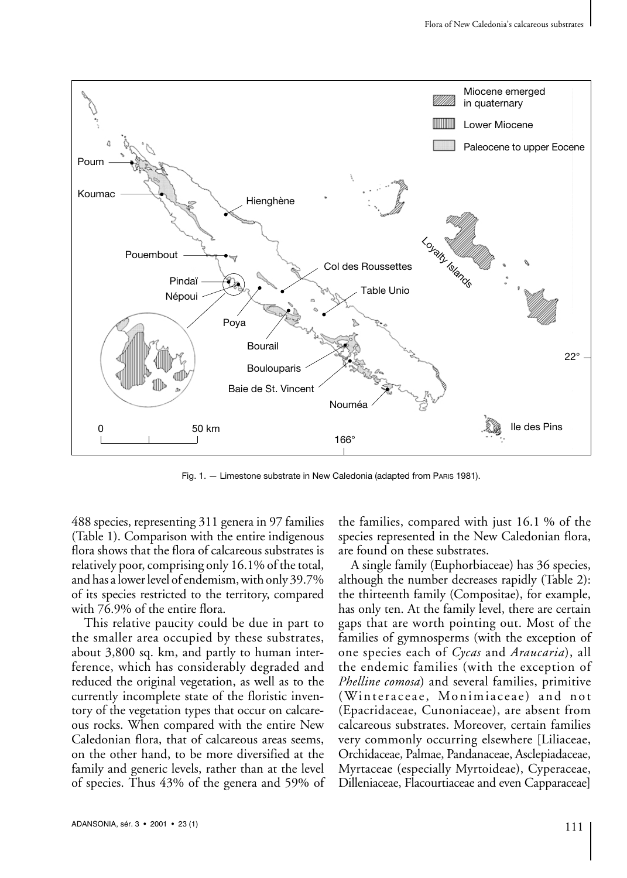

Fig. 1. — Limestone substrate in New Caledonia (adapted from PARIS 1981).

488 species, representing 311 genera in 97 families (Table 1). Comparison with the entire indigenous flora shows that the flora of calcareous substrates is relatively poor, comprising only 16.1% of the total, and has a lower level of endemism, with only 39.7% of its species restricted to the territory, compared with 76.9% of the entire flora.

This relative paucity could be due in part to the smaller area occupied by these substrates, about 3,800 sq. km, and partly to human interference, which has considerably degraded and reduced the original vegetation, as well as to the currently incomplete state of the floristic inventory of the vegetation types that occur on calcareous rocks. When compared with the entire New Caledonian flora, that of calcareous areas seems, on the other hand, to be more diversified at the family and generic levels, rather than at the level of species. Thus 43% of the genera and 59% of the families, compared with just 16.1 % of the species represented in the New Caledonian flora, are found on these substrates.

A single family (Euphorbiaceae) has 36 species, although the number decreases rapidly (Table 2): the thirteenth family (Compositae), for example, has only ten. At the family level, there are certain gaps that are worth pointing out. Most of the families of gymnosperms (with the exception of one species each of *Cycas* and *Araucaria*), all the endemic families (with the exception of *Phelline comosa*) and several families, primitive (Winteraceae, Monimiaceae) and not (Epacridaceae, Cunoniaceae), are absent from calcareous substrates. Moreover, certain families very commonly occurring elsewhere [Liliaceae, Orchidaceae, Palmae, Pandanaceae, Asclepiadaceae, Myrtaceae (especially Myrtoideae), Cyperaceae, Dilleniaceae, Flacourtiaceae and even Capparaceae]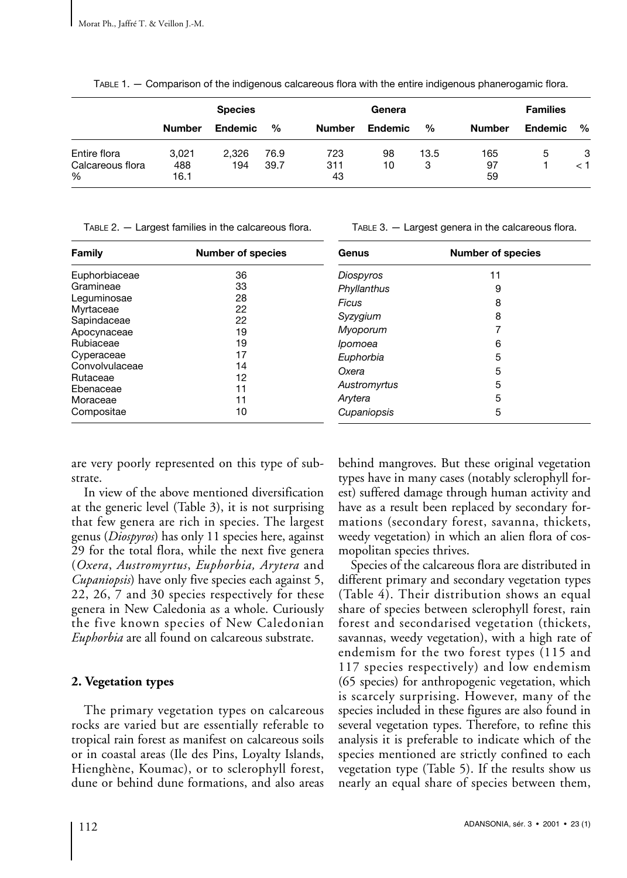TABLE 1. — Comparison of the indigenous calcareous flora with the entire indigenous phanerogamic flora.

|                                   | <b>Species</b> |                |      |               | Genera  | <b>Families</b> |               |                |     |
|-----------------------------------|----------------|----------------|------|---------------|---------|-----------------|---------------|----------------|-----|
|                                   | <b>Number</b>  | <b>Endemic</b> | %    | <b>Number</b> | Endemic | %               | <b>Number</b> | <b>Endemic</b> | %   |
| Entire flora                      | 3.021          | 2.326          | 76.9 | 723           | 98      | 13.5            | 165           | 5              | 3   |
| Calcareous flora<br>$\frac{0}{0}$ | 488<br>16.1    | 194            | 39.7 | 311<br>43     | 10      | 3               | 97<br>59      |                | ا > |

TABLE 2. — Largest families in the calcareous flora.

| Family                                                                                                                                                                 | <b>Number of species</b>                                             | Genus                                                                                                                 | <b>Number of species</b>                   |  |
|------------------------------------------------------------------------------------------------------------------------------------------------------------------------|----------------------------------------------------------------------|-----------------------------------------------------------------------------------------------------------------------|--------------------------------------------|--|
| Euphorbiaceae<br>Gramineae<br>Leguminosae<br>Myrtaceae<br>Sapindaceae<br>Apocynaceae<br>Rubiaceae<br>Cyperaceae<br>Convolvulaceae<br>Rutaceae<br>Ebenaceae<br>Moraceae | 36<br>33<br>28<br>22<br>22<br>19<br>19<br>17<br>14<br>12<br>11<br>11 | Diospyros<br>Phyllanthus<br>Ficus<br>Syzygium<br>Myoporum<br>Ipomoea<br>Euphorbia<br>Oxera<br>Austromyrtus<br>Arytera | 11<br>9<br>8<br>8<br>6<br>5<br>5<br>5<br>5 |  |
| Compositae                                                                                                                                                             | 10                                                                   | Cupaniopsis                                                                                                           | 5                                          |  |

are very poorly represented on this type of substrate.

In view of the above mentioned diversification at the generic level (Table 3), it is not surprising that few genera are rich in species. The largest genus (*Diospyros*) has only 11 species here, against 29 for the total flora, while the next five genera (*Oxera*, *Austromyrtus*, *Euphorbia, Arytera* and *Cupaniopsis*) have only five species each against 5, 22, 26, 7 and 30 species respectively for these genera in New Caledonia as a whole. Curiously the five known species of New Caledonian *Euphorbia* are all found on calcareous substrate.

# **2. Vegetation types**

The primary vegetation types on calcareous rocks are varied but are essentially referable to tropical rain forest as manifest on calcareous soils or in coastal areas (Ile des Pins, Loyalty Islands, Hienghène, Koumac), or to sclerophyll forest, dune or behind dune formations, and also areas behind mangroves. But these original vegetation types have in many cases (notably sclerophyll forest) suffered damage through human activity and have as a result been replaced by secondary formations (secondary forest, savanna, thickets, weedy vegetation) in which an alien flora of cosmopolitan species thrives.

TABLE 3. — Largest genera in the calcareous flora.

Species of the calcareous flora are distributed in different primary and secondary vegetation types (Table 4). Their distribution shows an equal share of species between sclerophyll forest, rain forest and secondarised vegetation (thickets, savannas, weedy vegetation), with a high rate of endemism for the two forest types (115 and 117 species respectively) and low endemism (65 species) for anthropogenic vegetation, which is scarcely surprising. However, many of the species included in these figures are also found in several vegetation types. Therefore, to refine this analysis it is preferable to indicate which of the species mentioned are strictly confined to each vegetation type (Table 5). If the results show us nearly an equal share of species between them,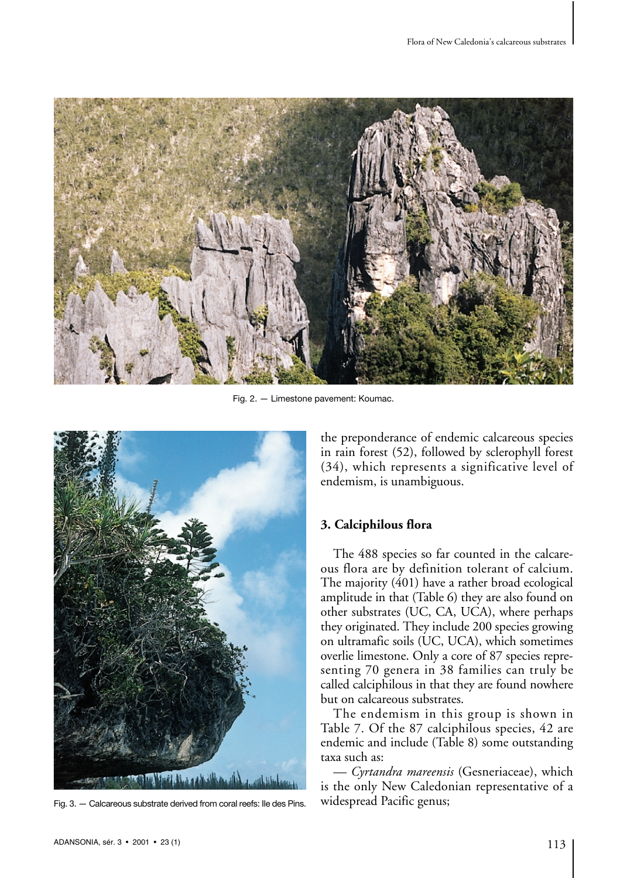

Fig. 2. — Limestone pavement: Koumac.



Fig. 3. — Calcareous substrate derived from coral reefs: Ile des Pins.

the preponderance of endemic calcareous species in rain forest (52), followed by sclerophyll forest (34), which represents a significative level of endemism, is unambiguous.

# **3. Calciphilous flora**

The 488 species so far counted in the calcareous flora are by definition tolerant of calcium. The majority (401) have a rather broad ecological amplitude in that (Table 6) they are also found on other substrates (UC, CA, UCA), where perhaps they originated. They include 200 species growing on ultramafic soils (UC, UCA), which sometimes overlie limestone. Only a core of 87 species representing 70 genera in 38 families can truly be called calciphilous in that they are found nowhere but on calcareous substrates.

The endemism in this group is shown in Table 7. Of the 87 calciphilous species, 42 are endemic and include (Table 8) some outstanding taxa such as:

*— Cyrtandra mareensis* (Gesneriaceae), which is the only New Caledonian representative of a widespread Pacific genus;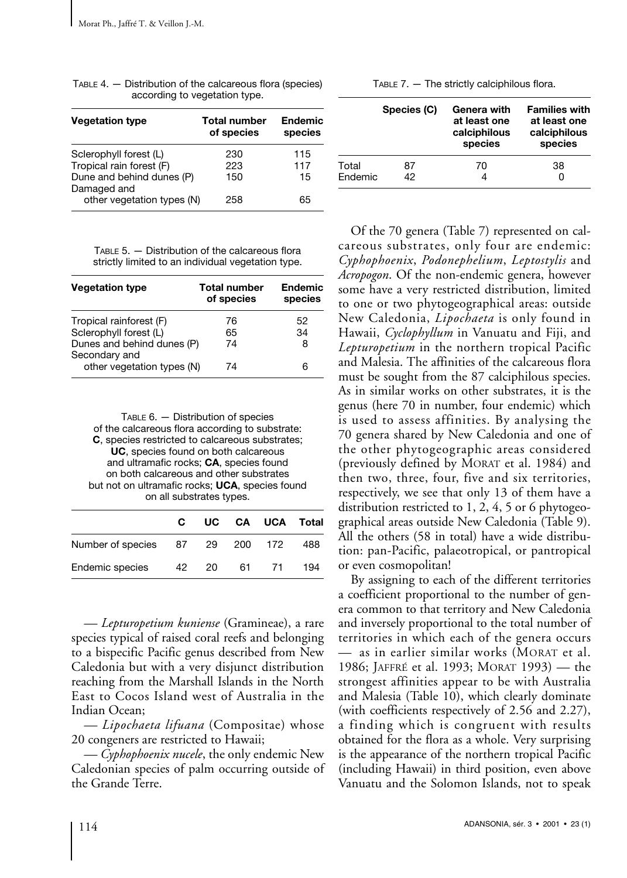| <b>Vegetation type</b>                   | <b>Total number</b><br>of species | <b>Endemic</b><br>species |
|------------------------------------------|-----------------------------------|---------------------------|
| Sclerophyll forest (L)                   | 230                               | 115                       |
| Tropical rain forest (F)                 | 223                               | 117                       |
| Dune and behind dunes (P)<br>Damaged and | 150                               | 15                        |
| other vegetation types (N)               | 258                               | 65                        |

TABLE 4. — Distribution of the calcareous flora (species) according to vegetation type.

TABLE 5. — Distribution of the calcareous flora strictly limited to an individual vegetation type.

| <b>Vegetation type</b>                      | <b>Total number</b><br>of species | <b>Endemic</b><br>species |
|---------------------------------------------|-----------------------------------|---------------------------|
| Tropical rainforest (F)                     | 76                                | 52.                       |
| Sclerophyll forest (L)                      | 65                                | 34                        |
| Dunes and behind dunes (P)<br>Secondary and | 74                                | 8                         |
| other vegetation types (N)                  | 74                                | 6                         |

TABLE 6. — Distribution of species of the calcareous flora according to substrate: **C**, species restricted to calcareous substrates; **UC**, species found on both calcareous and ultramafic rocks; **CA**, species found on both calcareous and other substrates but not on ultramafic rocks; **UCA**, species found on all substrates types.

|                                 | C. |    | UC CA UCA Total |     |
|---------------------------------|----|----|-----------------|-----|
| Number of species 87 29 200 172 |    |    |                 | 488 |
| Endemic species 42 20           |    | 61 | 71              | 194 |

*— Lepturopetium kuniense* (Gramineae), a rare species typical of raised coral reefs and belonging to a bispecific Pacific genus described from New Caledonia but with a very disjunct distribution reaching from the Marshall Islands in the North East to Cocos Island west of Australia in the Indian Ocean;

*— Lipochaeta lifuana* (Compositae) whose 20 congeners are restricted to Hawaii;

*— Cyphophoenix nucele*, the only endemic New Caledonian species of palm occurring outside of the Grande Terre.

|                  | Species (C) | Genera with<br>at least one<br>calciphilous<br>species | <b>Families with</b><br>at least one<br>calciphilous<br>species |
|------------------|-------------|--------------------------------------------------------|-----------------------------------------------------------------|
| Total<br>Endemic | 87<br>42    | 70                                                     | 38                                                              |

Of the 70 genera (Table 7) represented on calcareous substrates, only four are endemic: *Cyphophoenix*, *Podonephelium*, *Leptostylis* and *Acropogon*. Of the non-endemic genera, however some have a very restricted distribution, limited to one or two phytogeographical areas: outside New Caledonia, *Lipochaeta* is only found in Hawaii, *Cyclophyllum* in Vanuatu and Fiji, and *Lepturopetium* in the northern tropical Pacific and Malesia. The affinities of the calcareous flora must be sought from the 87 calciphilous species. As in similar works on other substrates, it is the genus (here 70 in number, four endemic) which is used to assess affinities. By analysing the 70 genera shared by New Caledonia and one of the other phytogeographic areas considered (previously defined by MORAT et al. 1984) and then two, three, four, five and six territories, respectively, we see that only 13 of them have a distribution restricted to 1, 2, 4, 5 or 6 phytogeographical areas outside New Caledonia (Table 9). All the others (58 in total) have a wide distribution: pan-Pacific, palaeotropical, or pantropical or even cosmopolitan!

By assigning to each of the different territories a coefficient proportional to the number of genera common to that territory and New Caledonia and inversely proportional to the total number of territories in which each of the genera occurs — as in earlier similar works (MORAT et al. 1986; JAFFRÉ et al. 1993; MORAT 1993) — the strongest affinities appear to be with Australia and Malesia (Table 10), which clearly dominate (with coefficients respectively of 2.56 and 2.27), a finding which is congruent with results obtained for the flora as a whole. Very surprising is the appearance of the northern tropical Pacific (including Hawaii) in third position, even above Vanuatu and the Solomon Islands, not to speak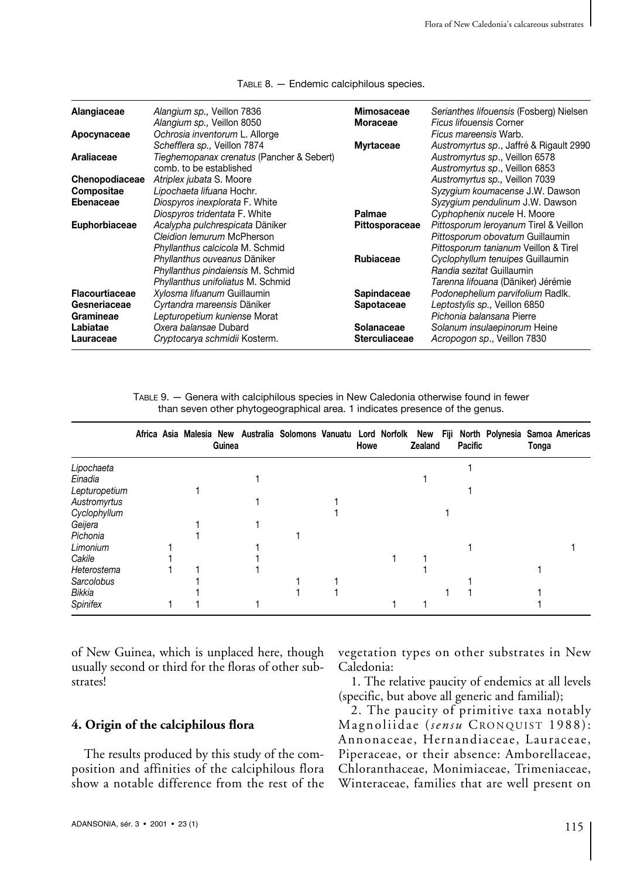| Alangiaceae    | Alangium sp., Veillon 7836<br>Alangium sp., Veillon 8050                                             | Mimosaceae<br>Moraceae | Serianthes lifouensis (Fosberg) Nielsen<br><b>Ficus lifouensis Corner</b>                                   |
|----------------|------------------------------------------------------------------------------------------------------|------------------------|-------------------------------------------------------------------------------------------------------------|
| Apocynaceae    | Ochrosia inventorum L. Allorge                                                                       |                        | Ficus mareensis Warb.                                                                                       |
| Araliaceae     | Schefflera sp., Veillon 7874<br>Tieghemopanax crenatus (Pancher & Sebert)<br>comb, to be established | <b>Myrtaceae</b>       | Austromyrtus sp., Jaffré & Rigault 2990<br>Austromyrtus sp., Veillon 6578<br>Austromyrtus sp., Veillon 6853 |
| Chenopodiaceae | Atriplex jubata S. Moore                                                                             |                        | Austromyrtus sp., Veillon 7039                                                                              |
| Compositae     | Lipochaeta lifuana Hochr.                                                                            |                        | Syzygium koumacense J.W. Dawson                                                                             |
| Ebenaceae      | Diospyros inexplorata F. White                                                                       |                        | Syzygium pendulinum J.W. Dawson                                                                             |
|                | Diospyros tridentata F. White                                                                        | Palmae                 | Cyphophenix nucele H. Moore                                                                                 |
| Euphorbiaceae  | Acalypha pulchrespicata Däniker                                                                      | Pittosporaceae         | Pittosporum leroyanum Tirel & Veillon                                                                       |
|                | Cleidion lemurum McPherson                                                                           |                        | Pittosporum obovatum Guillaumin                                                                             |
|                | Phyllanthus calcicola M. Schmid                                                                      |                        | Pittosporum tanianum Veillon & Tirel                                                                        |
|                | Phyllanthus ouveanus Däniker                                                                         | Rubiaceae              | Cyclophyllum tenuipes Guillaumin                                                                            |
|                | Phyllanthus pindaiensis M. Schmid                                                                    |                        | Randia sezitat Guillaumin                                                                                   |
|                | Phyllanthus unifoliatus M. Schmid                                                                    |                        | Tarenna lifouana (Däniker) Jérémie                                                                          |
| Flacourtiaceae | Xylosma lifuanum Guillaumin                                                                          | Sapindaceae            | Podonephelium parvifolium Radlk.                                                                            |
| Gesneriaceae   | Cyrtandra mareensis Däniker                                                                          | <b>Sapotaceae</b>      | Leptostylis sp., Veillon 6850                                                                               |
| Gramineae      | Lepturopetium kuniense Morat                                                                         |                        | Pichonia balansana Pierre                                                                                   |
| Labiatae       | Oxera balansae Dubard                                                                                | Solanaceae             | Solanum insulaepinorum Heine                                                                                |
| Lauraceae      | Cryptocarya schmidii Kosterm.                                                                        | <b>Sterculiaceae</b>   | Acropogon sp., Veillon 7830                                                                                 |

TABLE 8. — Endemic calciphilous species.

TABLE 9. — Genera with calciphilous species in New Caledonia otherwise found in fewer than seven other phytogeographical area. 1 indicates presence of the genus.

|                 |  | Guinea | Africa Asia Malesia New Australia Solomons Vanuatu Lord Norfolk New Fiji North Polynesia Samoa Americas | Howe | Zealand | Pacific | Tonga |  |
|-----------------|--|--------|---------------------------------------------------------------------------------------------------------|------|---------|---------|-------|--|
| Lipochaeta      |  |        |                                                                                                         |      |         |         |       |  |
| Einadia         |  |        |                                                                                                         |      |         |         |       |  |
| Lepturopetium   |  |        |                                                                                                         |      |         |         |       |  |
| Austromyrtus    |  |        |                                                                                                         |      |         |         |       |  |
| Cyclophyllum    |  |        |                                                                                                         |      |         |         |       |  |
| Geijera         |  |        |                                                                                                         |      |         |         |       |  |
| Pichonia        |  |        |                                                                                                         |      |         |         |       |  |
| Limonium        |  |        |                                                                                                         |      |         |         |       |  |
| Cakile          |  |        |                                                                                                         |      |         |         |       |  |
| Heterostema     |  |        |                                                                                                         |      |         |         |       |  |
| Sarcolobus      |  |        |                                                                                                         |      |         |         |       |  |
| Bikkia          |  |        |                                                                                                         |      |         |         |       |  |
| <b>Spinifex</b> |  |        |                                                                                                         |      |         |         |       |  |

of New Guinea, which is unplaced here, though usually second or third for the floras of other substrates!

## **4. Origin of the calciphilous flora**

The results produced by this study of the composition and affinities of the calciphilous flora show a notable difference from the rest of the

vegetation types on other substrates in New Caledonia:

1. The relative paucity of endemics at all levels (specific, but above all generic and familial);

2. The paucity of primitive taxa notably Magnoliidae (*sensu* CRONQUIST 1988): Annonaceae, Hernandiaceae, Lauraceae, Piperaceae, or their absence: Amborellaceae, Chloranthaceae, Monimiaceae, Trimeniaceae, Winteraceae, families that are well present on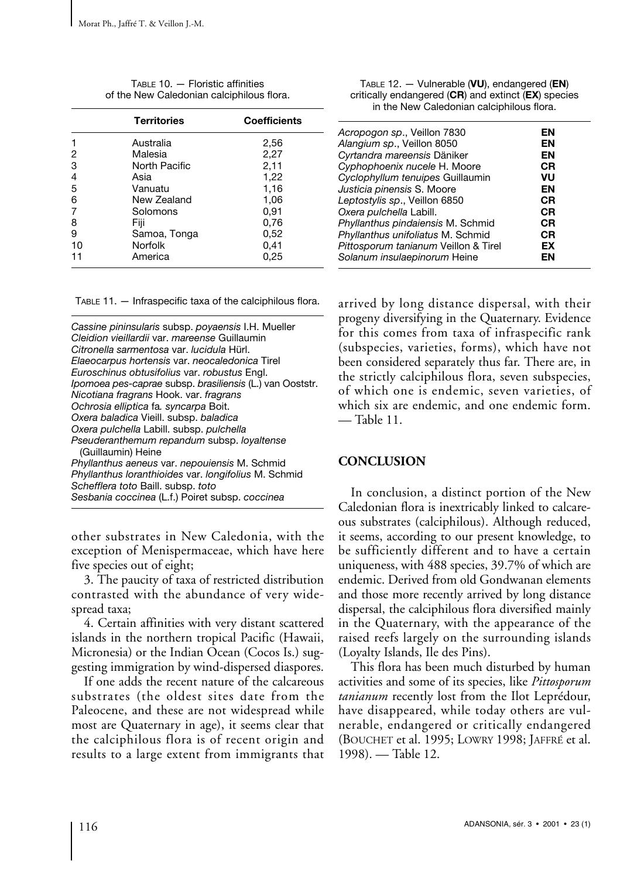|                | <b>Territories</b> | <b>Coefficients</b> |
|----------------|--------------------|---------------------|
|                | Australia          | 2,56                |
| 2              | Malesia            | 2,27                |
| 3              | North Pacific      | 2,11                |
| $\overline{4}$ | Asia               | 1,22                |
| 5              | Vanuatu            | 1,16                |
| 6              | New Zealand        | 1,06                |
|                | Solomons           | 0,91                |
| 8              | Fiji               | 0,76                |
| 9              | Samoa, Tonga       | 0,52                |
| 10             | Norfolk            | 0,41                |
| 11             | America            | 0,25                |
|                |                    |                     |

TABLE 10. — Floristic affinities of the New Caledonian calciphilous flora.

TABLE 11. — Infraspecific taxa of the calciphilous flora.

other substrates in New Caledonia, with the exception of Menispermaceae, which have here five species out of eight;

3. The paucity of taxa of restricted distribution contrasted with the abundance of very widespread taxa;

4. Certain affinities with very distant scattered islands in the northern tropical Pacific (Hawaii, Micronesia) or the Indian Ocean (Cocos Is.) suggesting immigration by wind-dispersed diaspores.

If one adds the recent nature of the calcareous substrates (the oldest sites date from the Paleocene, and these are not widespread while most are Quaternary in age), it seems clear that the calciphilous flora is of recent origin and results to a large extent from immigrants that

| Acropogon sp., Veillon 7830          | ΕN        |
|--------------------------------------|-----------|
| Alangium sp., Veillon 8050           | ΕN        |
| Cyrtandra mareensis Däniker          | ΕN        |
| Cyphophoenix nucele H. Moore         | <b>CR</b> |
| Cyclophyllum tenuipes Guillaumin     | VU        |
| Justicia pinensis S. Moore           | EN        |
| Leptostylis sp., Veillon 6850        | СR        |
| Oxera pulchella Labill.              | CR        |
| Phyllanthus pindaiensis M. Schmid    | СR        |
| Phyllanthus unifoliatus M. Schmid    | СR        |
| Pittosporum tanianum Veillon & Tirel | EX        |
| Solanum insulaepinorum Heine         | ΕN        |

TABLE 12. — Vulnerable (**VU**), endangered (**EN**) critically endangered (**CR**) and extinct (**EX**) species in the New Caledonian calciphilous flora.

arrived by long distance dispersal, with their progeny diversifying in the Quaternary. Evidence for this comes from taxa of infraspecific rank (subspecies, varieties, forms), which have not been considered separately thus far. There are, in the strictly calciphilous flora, seven subspecies, of which one is endemic, seven varieties, of which six are endemic, and one endemic form. — Table 11.

# **CONCLUSION**

In conclusion, a distinct portion of the New Caledonian flora is inextricably linked to calcareous substrates (calciphilous). Although reduced, it seems, according to our present knowledge, to be sufficiently different and to have a certain uniqueness, with 488 species, 39.7% of which are endemic. Derived from old Gondwanan elements and those more recently arrived by long distance dispersal, the calciphilous flora diversified mainly in the Quaternary, with the appearance of the raised reefs largely on the surrounding islands (Loyalty Islands, Ile des Pins).

This flora has been much disturbed by human activities and some of its species, like *Pittosporum tanianum* recently lost from the Ilot Leprédour, have disappeared, while today others are vulnerable, endangered or critically endangered (BOUCHET et al. 1995; LOWRY 1998; JAFFRÉ et al. 1998). — Table 12.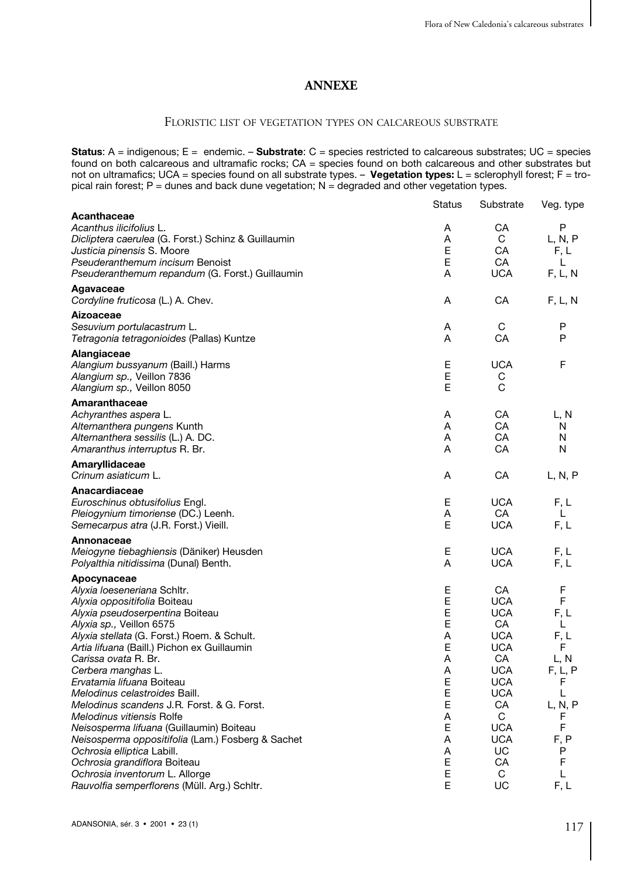# **ANNEXE**

# FLORISTIC LIST OF VEGETATION TYPES ON CALCAREOUS SUBSTRATE

**Status**: A = indigenous; E = endemic. – **Substrate**: C = species restricted to calcareous substrates; UC = species found on both calcareous and ultramafic rocks; CA = species found on both calcareous and other substrates but not on ultramafics; UCA = species found on all substrate types. – **Vegetation types:** L = sclerophyll forest; F = tropical rain forest;  $P =$  dunes and back dune vegetation;  $N =$  degraded and other vegetation types.

|                                                     | Status | Substrate  | Veg. type    |
|-----------------------------------------------------|--------|------------|--------------|
| Acanthaceae                                         |        |            |              |
| Acanthus ilicifolius L.                             | A      | CA         | P            |
| Dicliptera caerulea (G. Forst.) Schinz & Guillaumin | A      | C          | L, N, P      |
| Justicia pinensis S. Moore                          | E      | CA         | F, L         |
| Pseuderanthemum incisum Benoist                     | E      | CA         | L            |
| Pseuderanthemum repandum (G. Forst.) Guillaumin     | A      | <b>UCA</b> | F, L, N      |
| Agavaceae                                           |        |            |              |
| Cordyline fruticosa (L.) A. Chev.                   | Α      | CA         | F, L, N      |
| Aizoaceae                                           |        |            |              |
| Sesuvium portulacastrum L.                          | Α      | C          | P            |
| Tetragonia tetragonioides (Pallas) Kuntze           | A      | CA         | P            |
| Alangiaceae                                         |        |            |              |
| Alangium bussyanum (Baill.) Harms                   | Е      | <b>UCA</b> | F            |
| Alangium sp., Veillon 7836                          | E      | С          |              |
| Alangium sp., Veillon 8050                          | E      | C          |              |
| Amaranthaceae                                       |        |            |              |
| Achyranthes aspera L.                               | A      | CA         | L, N         |
| Alternanthera pungens Kunth                         | A      | CA         | N            |
| Alternanthera sessilis (L.) A. DC.                  | A      | CA         | N            |
| Amaranthus interruptus R. Br.                       | A      | CA         | N            |
|                                                     |        |            |              |
| Amaryllidaceae<br>Crinum asiaticum L.               | A      | CA         |              |
|                                                     |        |            | L, N, P      |
| Anacardiaceae                                       |        |            |              |
| Euroschinus obtusifolius Engl.                      | Е      | <b>UCA</b> | F.L          |
| Pleiogynium timoriense (DC.) Leenh.                 | A      | CA         | $\mathbf{L}$ |
| Semecarpus atra (J.R. Forst.) Vieill.               | Е      | <b>UCA</b> | F.L          |
| Annonaceae                                          |        |            |              |
| Meiogyne tiebaghiensis (Däniker) Heusden            | Е      | <b>UCA</b> | F.L          |
| Polyalthia nitidissima (Dunal) Benth.               | A      | <b>UCA</b> | F.L          |
| Apocynaceae                                         |        |            |              |
| Alyxia loeseneriana Schltr.                         | Ε      | CA         | F            |
| Alyxia oppositifolia Boiteau                        | E      | <b>UCA</b> | F            |
| Alyxia pseudoserpentina Boiteau                     | E      | <b>UCA</b> | F.L          |
| Alyxia sp., Veillon 6575                            | E      | CA         | L            |
| Alyxia stellata (G. Forst.) Roem. & Schult.         | A      | <b>UCA</b> | F.L          |
| Artia lifuana (Baill.) Pichon ex Guillaumin         | E      | <b>UCA</b> | F            |
| Carissa ovata R. Br.                                | A      | CA         | L, N         |
| Cerbera manghas L.                                  | A      | <b>UCA</b> | F, L, P      |
| Ervatamia lifuana Boiteau                           | E      | <b>UCA</b> | F            |
| Melodinus celastroides Baill.                       | E      | <b>UCA</b> | L            |
| Melodinus scandens J.R. Forst. & G. Forst.          | E      | CA         | L, N, P      |
| Melodinus vitiensis Rolfe                           | Α      | C          | F            |
| Neisosperma lifuana (Guillaumin) Boiteau            | E      | <b>UCA</b> | F            |
| Neisosperma oppositifolia (Lam.) Fosberg & Sachet   | A      | <b>UCA</b> | F, P         |
| Ochrosia elliptica Labill.                          | Α      | UC         | P            |
| Ochrosia grandiflora Boiteau                        | E      | СA         | F            |
| Ochrosia inventorum L. Allorge                      | E      | C          | L            |
| Rauvolfia semperflorens (Müll. Arg.) Schltr.        | E      | UC         | F.L          |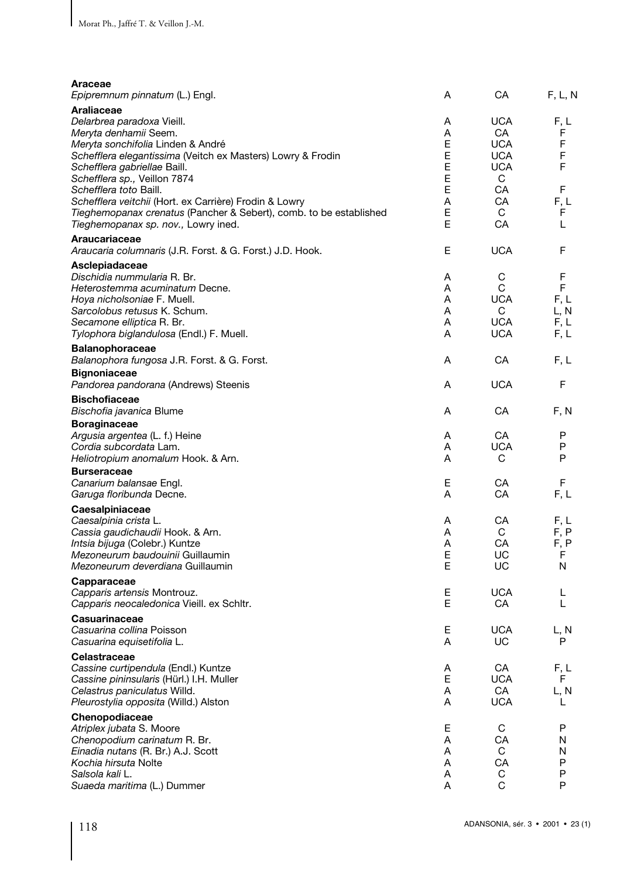| Araceae<br>Epipremnum pinnatum (L.) Engl.                                                                                                                                                                                     | A                          | CA                                             | F, L, N                                |
|-------------------------------------------------------------------------------------------------------------------------------------------------------------------------------------------------------------------------------|----------------------------|------------------------------------------------|----------------------------------------|
| Araliaceae<br>Delarbrea paradoxa Vieill.                                                                                                                                                                                      | Α                          | <b>UCA</b>                                     | F, L                                   |
| Meryta denhamii Seem.<br>Meryta sonchifolia Linden & André<br>Schefflera elegantissima (Veitch ex Masters) Lowry & Frodin<br>Schefflera gabriellae Baill.                                                                     | Α<br>E<br>Ε<br>E           | CA<br><b>UCA</b><br><b>UCA</b><br><b>UCA</b>   | F<br>F<br>F<br>F                       |
| Schefflera sp., Veillon 7874<br>Schefflera toto Baill.<br>Schefflera veitchii (Hort. ex Carrière) Frodin & Lowry<br>Tieghemopanax crenatus (Pancher & Sebert), comb. to be established<br>Tieghemopanax sp. nov., Lowry ined. | E<br>E<br>A<br>E<br>E      | C<br>CA<br>CA<br>C<br>CA                       | F<br>F, L<br>F<br>L                    |
| Araucariaceae<br>Araucaria columnaris (J.R. Forst. & G. Forst.) J.D. Hook.                                                                                                                                                    | E                          | <b>UCA</b>                                     | F                                      |
| Asclepiadaceae<br>Dischidia nummularia R. Br.<br>Heterostemma acuminatum Decne.<br>Hoya nicholsoniae F. Muell.<br>Sarcolobus retusus K. Schum.<br>Secamone elliptica R. Br.<br>Tylophora biglandulosa (Endl.) F. Muell.       | Α<br>A<br>A<br>A<br>Α<br>A | С<br>C<br><b>UCA</b><br>C<br>UCA<br><b>UCA</b> | F<br>F<br>F, L<br>L, N<br>F, L<br>F, L |
| <b>Balanophoraceae</b><br>Balanophora fungosa J.R. Forst. & G. Forst.<br><b>Bignoniaceae</b>                                                                                                                                  | Α                          | СA                                             | F, L                                   |
| Pandorea pandorana (Andrews) Steenis<br><b>Bischofiaceae</b>                                                                                                                                                                  | Α                          | <b>UCA</b>                                     | F                                      |
| Bischofia javanica Blume<br><b>Boraginaceae</b>                                                                                                                                                                               | A                          | CA                                             | F, N                                   |
| Argusia argentea (L. f.) Heine<br>Cordia subcordata Lam.<br>Heliotropium anomalum Hook. & Arn.                                                                                                                                | A<br>A<br>A                | CA<br><b>UCA</b><br>C                          | P<br>P<br>P                            |
| <b>Burseraceae</b><br>Canarium balansae Engl.<br>Garuga floribunda Decne.                                                                                                                                                     | Ε<br>A                     | CA<br>СA                                       | F<br>F, L                              |
| Caesalpiniaceae<br>Caesalpinia crista L.<br>Cassia gaudichaudii Hook. & Arn.<br>Intsia bijuga (Colebr.) Kuntze<br>Mezoneurum baudouinii Guillaumin<br>Mezoneurum deverdiana Guillaumin                                        | Α<br>A<br>A<br>E<br>Е      | СA<br>C<br>CA<br>UC<br>UC                      | F, L<br>F, P<br>F, P<br>F<br>N         |
| Capparaceae<br>Capparis artensis Montrouz.<br>Capparis neocaledonica Vieill. ex Schltr.                                                                                                                                       | Е<br>E                     | <b>UCA</b><br>CA                               | L<br>L                                 |
| Casuarinaceae<br>Casuarina collina Poisson<br>Casuarina equisetifolia L                                                                                                                                                       | E<br>Α                     | <b>UCA</b><br>UC                               | L, N<br>P                              |
| Celastraceae<br>Cassine curtipendula (Endl.) Kuntze<br>Cassine pininsularis (Hürl.) I.H. Muller<br>Celastrus paniculatus Willd.<br>Pleurostylia opposita (Willd.) Alston                                                      | Α<br>E<br>Α<br>Α           | CA<br><b>UCA</b><br>CA<br><b>UCA</b>           | F, L<br>F<br>L, N<br>L                 |
| Chenopodiaceae<br>Atriplex jubata S. Moore<br>Chenopodium carinatum R. Br.<br>Einadia nutans (R. Br.) A.J. Scott<br>Kochia hirsuta Nolte<br>Salsola kali L.<br>Suaeda maritima (L.) Dummer                                    | Е<br>Α<br>Α<br>Α<br>Α<br>Α | C<br>CA<br>C<br>CA<br>C<br>C                   | P<br>N<br>N<br>P<br>P<br>P             |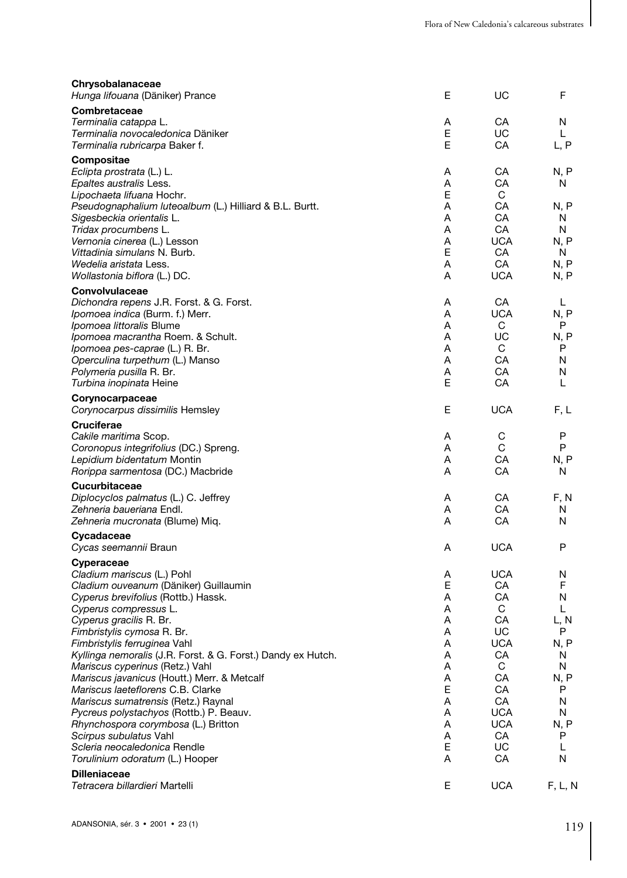| Chrysobalanaceae<br>Hunga lifouana (Däniker) Prance                                                                                                                                                                                                                                                                                                                                                                                                                                                                                                        | Е                                                                  | UC                                                                                                             | F                                                                              |
|------------------------------------------------------------------------------------------------------------------------------------------------------------------------------------------------------------------------------------------------------------------------------------------------------------------------------------------------------------------------------------------------------------------------------------------------------------------------------------------------------------------------------------------------------------|--------------------------------------------------------------------|----------------------------------------------------------------------------------------------------------------|--------------------------------------------------------------------------------|
| Combretaceae<br>Terminalia catappa L.<br>Terminalia novocaledonica Däniker<br>Terminalia rubricarpa Baker f.                                                                                                                                                                                                                                                                                                                                                                                                                                               | Α<br>E<br>E                                                        | CA<br>UC<br>CA                                                                                                 | Ν<br>L<br>L, P                                                                 |
| Compositae<br>Eclipta prostrata (L.) L.<br>Epaltes australis Less.<br>Lipochaeta lifuana Hochr.<br>Pseudognaphalium luteoalbum (L.) Hilliard & B.L. Burtt.<br>Sigesbeckia orientalis L.<br>Tridax procumbens L.<br>Vernonia cinerea (L.) Lesson<br>Vittadinia simulans N. Burb.<br>Wedelia aristata Less.<br>Wollastonia biflora (L.) DC.<br>Convolvulaceae                                                                                                                                                                                                | A<br>A<br>E<br>A<br>A<br>A<br>Α<br>E<br>A<br>A                     | CA<br>CA<br>C<br>СA<br>СA<br>СA<br><b>UCA</b><br>CA<br>CA<br><b>UCA</b>                                        | N, P<br>N<br>N, P<br>N<br>N<br>N. P<br>N<br>N. P<br>N, P                       |
| Dichondra repens J.R. Forst. & G. Forst.<br>Ipomoea indica (Burm. f.) Merr.<br>Ipomoea littoralis Blume<br>Ipomoea macrantha Roem. & Schult.<br>Ipomoea pes-caprae (L.) R. Br.<br>Operculina turpethum (L.) Manso<br>Polymeria pusilla R. Br.<br>Turbina inopinata Heine                                                                                                                                                                                                                                                                                   | A<br>A<br>A<br>A<br>A<br>A<br>A<br>E                               | CA<br><b>UCA</b><br>С<br>UC<br>С<br>CA<br>СA<br>CA                                                             | L<br>N, P<br>P<br>N, P<br>P<br>N<br>N<br>L                                     |
| Corynocarpaceae<br>Corynocarpus dissimilis Hemsley                                                                                                                                                                                                                                                                                                                                                                                                                                                                                                         | Е                                                                  | <b>UCA</b>                                                                                                     | F, L                                                                           |
| <b>Cruciferae</b><br>Cakile maritima Scop.<br>Coronopus integrifolius (DC.) Spreng.<br>Lepidium bidentatum Montin<br>Rorippa sarmentosa (DC.) Macbride                                                                                                                                                                                                                                                                                                                                                                                                     | A<br>A<br>A<br>A                                                   | C<br>C<br>CA<br>CA                                                                                             | P<br>P<br>N, P<br>N                                                            |
| <b>Cucurbitaceae</b><br>Diplocyclos palmatus (L.) C. Jeffrey<br>Zehneria baueriana Endl.<br><i>Zehneria mucronata</i> (Blume) Miq.                                                                                                                                                                                                                                                                                                                                                                                                                         | A<br>A<br>A                                                        | CA<br>CA<br>CA                                                                                                 | F, N<br>N<br>N                                                                 |
| Cycadaceae<br>Cycas seemannii Braun                                                                                                                                                                                                                                                                                                                                                                                                                                                                                                                        | A                                                                  | <b>UCA</b>                                                                                                     | P                                                                              |
| Cyperaceae<br>Cladium mariscus (L.) Pohl<br>Cladium ouveanum (Däniker) Guillaumin<br>Cyperus brevifolius (Rottb.) Hassk.<br>Cyperus compressus L.<br>Cyperus gracilis R. Br.<br>Fimbristylis cymosa R. Br.<br>Fimbristylis ferruginea Vahl<br>Kyllinga nemoralis (J.R. Forst. & G. Forst.) Dandy ex Hutch.<br>Mariscus cyperinus (Retz.) Vahl<br>Mariscus javanicus (Houtt.) Merr. & Metcalf<br>Mariscus laeteflorens C.B. Clarke<br>Mariscus sumatrensis (Retz.) Raynal<br>Pycreus polystachyos (Rottb.) P. Beauv.<br>Rhynchospora corymbosa (L.) Britton | Α<br>E<br>A<br>A<br>A<br>A<br>Α<br>Α<br>Α<br>Α<br>E<br>Α<br>Α<br>Α | <b>UCA</b><br>CA<br>CA<br>С<br>CA<br>UC<br><b>UCA</b><br>CA<br>С<br>СA<br>СA<br>CA<br><b>UCA</b><br><b>UCA</b> | N<br>F<br>N<br>L<br>L, N<br>P<br>N, P<br>N<br>N<br>N, P<br>P<br>N<br>N<br>N, P |
| Scirpus subulatus Vahl<br>Scleria neocaledonica Rendle                                                                                                                                                                                                                                                                                                                                                                                                                                                                                                     | Α<br>E<br>Α                                                        | CA<br>UC<br>CA                                                                                                 | P<br>L<br>Ν                                                                    |
| Torulinium odoratum (L.) Hooper<br><b>Dilleniaceae</b><br>Tetracera billardieri Martelli                                                                                                                                                                                                                                                                                                                                                                                                                                                                   | Ε                                                                  | <b>UCA</b>                                                                                                     | F, L, N                                                                        |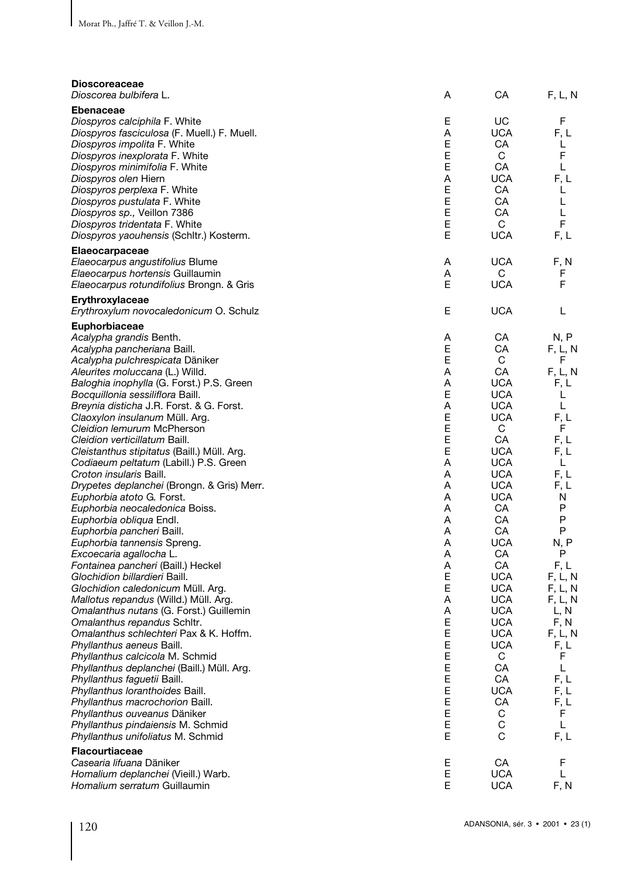| <b>Dioscoreaceae</b><br>Dioscorea bulbifera L.                                                                                                                                                                                                                                                                                                                                                                                                                                                                                                                                                                                                                                                                                                                                                                                                                                                                                                                                                                                                                                                                                                                                                                                                                                                                                                                                            | Α                                                                                                                                                                                | СA                                                                                                                                                                                                                                                                                                                                               | F, L, N                                                                                                                                                                                                                                                              |
|-------------------------------------------------------------------------------------------------------------------------------------------------------------------------------------------------------------------------------------------------------------------------------------------------------------------------------------------------------------------------------------------------------------------------------------------------------------------------------------------------------------------------------------------------------------------------------------------------------------------------------------------------------------------------------------------------------------------------------------------------------------------------------------------------------------------------------------------------------------------------------------------------------------------------------------------------------------------------------------------------------------------------------------------------------------------------------------------------------------------------------------------------------------------------------------------------------------------------------------------------------------------------------------------------------------------------------------------------------------------------------------------|----------------------------------------------------------------------------------------------------------------------------------------------------------------------------------|--------------------------------------------------------------------------------------------------------------------------------------------------------------------------------------------------------------------------------------------------------------------------------------------------------------------------------------------------|----------------------------------------------------------------------------------------------------------------------------------------------------------------------------------------------------------------------------------------------------------------------|
| <b>Ebenaceae</b><br>Diospyros calciphila F. White<br>Diospyros fasciculosa (F. Muell.) F. Muell.<br>Diospyros impolita F. White<br>Diospyros inexplorata F. White<br>Diospyros minimifolia F. White<br>Diospyros olen Hiern<br>Diospyros perplexa F. White<br>Diospyros pustulata F. White<br><i>Diospyros sp.,</i> Veillon 7386<br>Diospyros tridentata F. White<br>Diospyros yaouhensis (Schltr.) Kosterm.                                                                                                                                                                                                                                                                                                                                                                                                                                                                                                                                                                                                                                                                                                                                                                                                                                                                                                                                                                              | Е<br>Α<br>Е<br>E<br>Ε<br>Α<br>Е<br>E<br>Е<br>E<br>Е                                                                                                                              | UC<br><b>UCA</b><br>CA<br>C<br>CA<br><b>UCA</b><br>CA<br>CA<br>CA<br>C<br><b>UCA</b>                                                                                                                                                                                                                                                             | F<br>F. L<br>L<br>F<br>L<br>F. L<br>L<br>L<br>L<br>F<br>F, L                                                                                                                                                                                                         |
| <b>Elaeocarpaceae</b><br><i>Elaeocarpus angustifolius</i> Blume<br><i>Elaeocarpus hortensis</i> Guillaumin<br><i>Elaeocarpus rotundifolius</i> Brongn. & Gris                                                                                                                                                                                                                                                                                                                                                                                                                                                                                                                                                                                                                                                                                                                                                                                                                                                                                                                                                                                                                                                                                                                                                                                                                             | Α<br>Α<br>Е                                                                                                                                                                      | UCA<br>C<br><b>UCA</b>                                                                                                                                                                                                                                                                                                                           | F, N<br>F<br>F                                                                                                                                                                                                                                                       |
| Erythroxylaceae<br>Erythroxylum novocaledonicum O. Schulz                                                                                                                                                                                                                                                                                                                                                                                                                                                                                                                                                                                                                                                                                                                                                                                                                                                                                                                                                                                                                                                                                                                                                                                                                                                                                                                                 | Е                                                                                                                                                                                | <b>UCA</b>                                                                                                                                                                                                                                                                                                                                       | L                                                                                                                                                                                                                                                                    |
| <b>Euphorbiaceae</b><br>Acalypha grandis Benth.<br>Acalypha pancheriana Baill.<br>Acalypha pulchrespicata Däniker<br>Aleurites moluccana (L.) Willd.<br><i>Baloghia inophylla</i> (G. Forst.) P.S. Green<br>Bocquillonia sessiliflora Baill.<br>Breynia disticha J.R. Forst. & G. Forst.<br>Claoxylon insulanum Müll. Arq.<br>Cleidion lemurum McPherson<br>Cleidion verticillatum Baill.<br>Cleistanthus stipitatus (Baill.) Müll. Arg.<br>Codiaeum peltatum (Labill.) P.S. Green<br>Croton insularis Baill.<br>Drypetes deplanchei (Brongn. & Gris) Merr.<br><i>Euphorbia atoto</i> G. Forst.<br>Euphorbia neocaledonica Boiss.<br>Euphorbia obliqua Endl.<br>Euphorbia pancheri Baill.<br>Euphorbia tannensis Spreng.<br>Excoecaria agallocha L.<br>Fontainea pancheri (Baill.) Heckel<br>Glochidion billardieri Baill.<br>Glochidion caledonicum Müll. Arg.<br><i>Mallotus repandus</i> (Willd.) Müll. Arg.<br>Omalanthus nutans (G. Forst.) Guillemin<br>Omalanthus repandus Schitr.<br>Omalanthus schlechteri Pax & K. Hoffm.<br>Phyllanthus aeneus Baill.<br>Phyllanthus calcicola M. Schmid<br>Phyllanthus deplanchei (Baill.) Müll. Arg.<br>Phyllanthus faguetii Baill.<br>Phyllanthus loranthoides Baill.<br>Phyllanthus macrochorion Baill.<br>Phyllanthus ouveanus Däniker<br>Phyllanthus pindaiensis M. Schmid<br>Phyllanthus unifoliatus M. Schmid<br><b>Flacourtiaceae</b> | A<br>E<br>E<br>Α<br>Α<br>Е<br>Α<br>E<br>E<br>Ε<br>E<br>Α<br>A<br>Α<br>A<br>Α<br>A<br>Α<br>Α<br>Α<br>A<br>Ε<br>E<br>Α<br>Α<br>E<br>E<br>E<br>Ε<br>Е<br>Ε<br>Ε<br>Ε<br>Ε<br>E<br>Е | СA<br>CA<br>C<br>CA<br><b>UCA</b><br><b>UCA</b><br><b>UCA</b><br><b>UCA</b><br>C<br>CA<br><b>UCA</b><br><b>UCA</b><br><b>UCA</b><br><b>UCA</b><br>UCA<br>CA<br>СA<br>CA<br>UCA<br>CA<br><b>CA</b><br><b>UCA</b><br><b>UCA</b><br><b>UCA</b><br><b>UCA</b><br><b>UCA</b><br><b>UCA</b><br><b>UCA</b><br>С<br>CA<br>CA<br>UCA<br>CA<br>C<br>C<br>C | N, P<br>F, L, N<br>F<br>F, L, N<br>F, L<br>L<br>L<br>F, L<br>F<br>F. L<br>F. L<br>L<br>F. L<br>F, L<br>N<br>P<br>P<br>P<br>N, P<br>P<br>F, L<br>F, L, N<br>F, L, N<br>F, L, N<br>L, N<br>F, N<br>F, L, N<br>F, L<br>F<br>L<br>F, L<br>F, L<br>F, L<br>F<br>L<br>F, L |
| Casearia lifuana Däniker<br>Homalium deplanchei (Vieill.) Warb.<br>Homalium serratum Guillaumin                                                                                                                                                                                                                                                                                                                                                                                                                                                                                                                                                                                                                                                                                                                                                                                                                                                                                                                                                                                                                                                                                                                                                                                                                                                                                           | Ε<br>Ε<br>E                                                                                                                                                                      | CA<br><b>UCA</b><br><b>UCA</b>                                                                                                                                                                                                                                                                                                                   | F<br>L<br>F, N                                                                                                                                                                                                                                                       |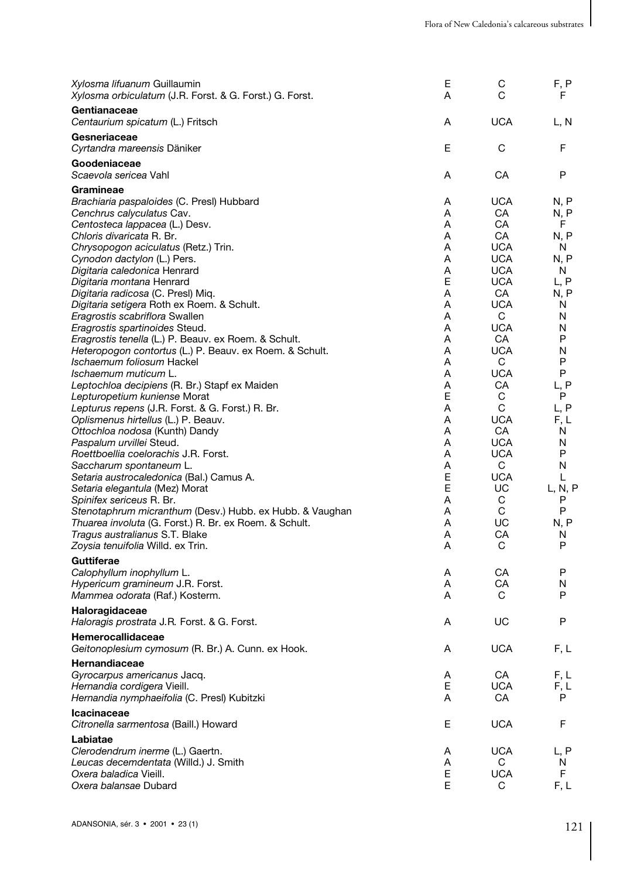| Xylosma lifuanum Guillaumin<br>Xylosma orbiculatum (J.R. Forst. & G. Forst.) G. Forst. | Ε<br>A | С<br>C           | F, P<br>F.   |
|----------------------------------------------------------------------------------------|--------|------------------|--------------|
| Gentianaceae<br>Centaurium spicatum (L.) Fritsch                                       | A      | <b>UCA</b>       | L, N         |
| Gesneriaceae<br>Cyrtandra mareensis Däniker                                            | E      | C                | F            |
| Goodeniaceae<br>Scaevola sericea Vahl                                                  | Α      | CA               | P            |
| Gramineae                                                                              |        |                  |              |
| Brachiaria paspaloides (C. Presl) Hubbard                                              | Α      | <b>UCA</b>       | N, P         |
| Cenchrus calyculatus Cav.                                                              | A      | CA               | N, P         |
| Centosteca lappacea (L.) Desv.<br>Chloris divaricata R. Br.                            | A<br>Α | CA<br>CA         | F.<br>N, P   |
| Chrysopogon aciculatus (Retz.) Trin.                                                   | A      | <b>UCA</b>       | N            |
| Cynodon dactylon (L.) Pers.                                                            | Α      | <b>UCA</b>       | N, P         |
| Digitaria caledonica Henrard                                                           | A      | <b>UCA</b>       | N            |
| Digitaria montana Henrard                                                              | E      | <b>UCA</b>       | L, P         |
| Digitaria radicosa (C. Presl) Miq.                                                     | A      | CA               | N, P         |
| Digitaria setigera Roth ex Roem. & Schult.                                             | A      | <b>UCA</b>       | N            |
| Eragrostis scabriflora Swallen                                                         | A      | C                | N            |
| Eragrostis spartinoides Steud.                                                         | A      | <b>UCA</b>       | N            |
| Eragrostis tenella (L.) P. Beauv. ex Roem. & Schult.                                   | A      | CA               | P            |
| Heteropogon contortus (L.) P. Beauv. ex Roem. & Schult.<br>Ischaemum foliosum Hackel   | A<br>A | <b>UCA</b><br>C  | N<br>P       |
| Ischaemum muticum L.                                                                   | A      | <b>UCA</b>       | P            |
| Leptochloa decipiens (R. Br.) Stapf ex Maiden                                          | A      | CA               | L, P         |
| Lepturopetium kuniense Morat                                                           | E      | С                | P            |
| Lepturus repens (J.R. Forst. & G. Forst.) R. Br.                                       | A      | C                | L, P         |
| Oplismenus hirtellus (L.) P. Beauv.                                                    | A      | <b>UCA</b>       | F, L         |
| Ottochloa nodosa (Kunth) Dandy                                                         | A      | CA               | N            |
| Paspalum urvillei Steud.                                                               | A      | <b>UCA</b>       | N            |
| Roettboellia coelorachis J.R. Forst.                                                   | A      | <b>UCA</b>       | P            |
| Saccharum spontaneum L.                                                                | A      | C                | Ν            |
| Setaria austrocaledonica (Bal.) Camus A.<br>Setaria elegantula (Mez) Morat             | E<br>E | <b>UCA</b><br>UC | L<br>L, N, P |
| Spinifex sericeus R. Br.                                                               | A      | C                | P            |
| Stenotaphrum micranthum (Desv.) Hubb. ex Hubb. & Vaughan                               | A      | C                | P            |
| Thuarea involuta (G. Forst.) R. Br. ex Roem. & Schult.                                 | A      | UC               | N, P         |
| Tragus australianus S.T. Blake                                                         | A      | CA               | N            |
| Zoysia tenuifolia Willd. ex Trin.                                                      | A      | C                | P            |
| Guttiferae                                                                             |        |                  |              |
| Calophyllum inophyllum L.                                                              | A      | CA               | P            |
| Hypericum gramineum J.R. Forst.                                                        | A      | CA               | N            |
| Mammea odorata (Raf.) Kosterm.                                                         | A      | C                | P            |
| Haloragidaceae<br>Haloragis prostrata J.R. Forst. & G. Forst.                          | Α      | UC               | P            |
| Hemerocallidaceae<br>Geitonoplesium cymosum (R. Br.) A. Cunn. ex Hook.                 | Α      | <b>UCA</b>       | F, L         |
| Hernandiaceae                                                                          |        |                  |              |
| Gyrocarpus americanus Jacq.                                                            | Α      | CA               | F, L         |
| Hernandia cordigera Vieill.                                                            | E      | <b>UCA</b>       | F, L         |
| Hernandia nymphaeifolia (C. Presl) Kubitzki                                            | Α      | CA               | P            |
| Icacinaceae<br>Citronella sarmentosa (Baill.) Howard                                   | Е      | <b>UCA</b>       | F            |
| Labiatae                                                                               |        |                  |              |
| Clerodendrum inerme (L.) Gaertn.                                                       | Α      | <b>UCA</b>       | L, P         |
| Leucas decemdentata (Willd.) J. Smith                                                  | Α      | С                | N.           |
| Oxera baladica Vieill.                                                                 | Е      | <b>UCA</b>       | F            |
| Oxera balansae Dubard                                                                  | E      | C                | F, L         |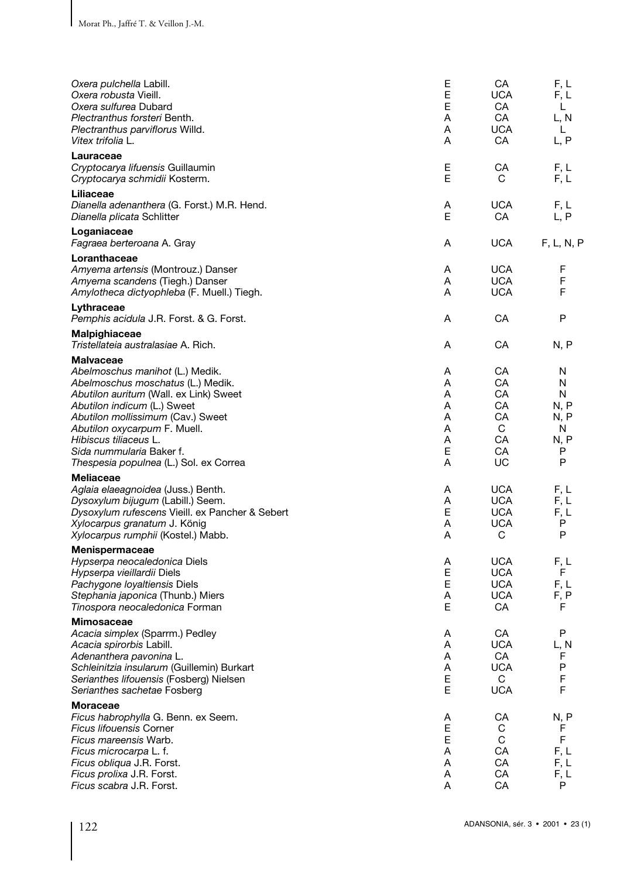| Oxera pulchella Labill.<br>Oxera robusta Vieill.<br>Oxera sulfurea Dubard<br>Plectranthus forsteri Benth.<br>Plectranthus parviflorus Willd.<br>Vitex trifolia L.                                                                                                                                                                     | Ε<br>E<br>Е<br>A<br>A<br>A                | CA<br>UCA<br>CA<br>CA<br><b>UCA</b><br>CA                  | F, L<br>F, L<br>L<br>L, N<br>L<br>L, P             |
|---------------------------------------------------------------------------------------------------------------------------------------------------------------------------------------------------------------------------------------------------------------------------------------------------------------------------------------|-------------------------------------------|------------------------------------------------------------|----------------------------------------------------|
| Lauraceae<br>Cryptocarya lifuensis Guillaumin<br>Cryptocarya schmidii Kosterm.                                                                                                                                                                                                                                                        | Е<br>E                                    | CA<br>С                                                    | F, L<br>F, L                                       |
| Liliaceae<br>Dianella adenanthera (G. Forst.) M.R. Hend.<br>Dianella plicata Schlitter                                                                                                                                                                                                                                                | Α<br>E                                    | <b>UCA</b><br>CA                                           | F, L<br>L, P                                       |
| Loganiaceae<br><i>Fagraea berteroana</i> A. Gray                                                                                                                                                                                                                                                                                      | Α                                         | <b>UCA</b>                                                 | F, L, N, P                                         |
| Loranthaceae<br>Amyema artensis (Montrouz.) Danser<br>Amyema scandens (Tiegh.) Danser<br>Amylotheca dictyophleba (F. Muell.) Tiegh.                                                                                                                                                                                                   | A<br>A<br>A                               | <b>UCA</b><br><b>UCA</b><br><b>UCA</b>                     | F<br>F<br>F                                        |
| Lythraceae<br>Pemphis acidula J.R. Forst. & G. Forst.                                                                                                                                                                                                                                                                                 | Α                                         | CA                                                         | P                                                  |
| Malpighiaceae<br>Tristellateia australasiae A. Rich.                                                                                                                                                                                                                                                                                  | A                                         | CA                                                         | N, P                                               |
| <b>Malvaceae</b><br>Abelmoschus manihot (L.) Medik.<br>Abelmoschus moschatus (L.) Medik.<br>Abutilon auritum (Wall. ex Link) Sweet<br>Abutilon indicum (L.) Sweet<br>Abutilon mollissimum (Cav.) Sweet<br>Abutilon oxycarpum F. Muell.<br>Hibiscus tiliaceus L.<br>Sida nummularia Baker f.<br>Thespesia populnea (L.) Sol. ex Correa | A<br>A<br>A<br>A<br>A<br>A<br>A<br>E<br>A | CA<br>CA<br>CA.<br>CA<br>CA<br>C<br>CA<br>CA<br>UC         | N<br>N<br>N<br>N, P<br>N, P<br>N<br>N, P<br>P<br>P |
| <b>Meliaceae</b><br>Aglaia elaeagnoidea (Juss.) Benth.<br>Dysoxylum bijugum (Labill.) Seem.<br>Dysoxylum rufescens Vieill. ex Pancher & Sebert<br>Xylocarpus granatum J. König<br><i>Xylocarpus rumphii</i> (Kostel.) Mabb.                                                                                                           | Α<br>A<br>E<br>A<br>A                     | <b>UCA</b><br><b>UCA</b><br><b>UCA</b><br><b>UCA</b><br>C  | F, L<br>F, L<br>F, L<br>P<br>P                     |
| <b>Menispermaceae</b><br>Hypserpa neocaledonica Diels<br>Hypserpa vieillardii Diels<br>Pachygone loyaltiensis Diels<br>Stephania japonica (Thunb.) Miers<br>Tinospora neocaledonica Forman                                                                                                                                            | Α<br>E<br>Е<br>Α<br>Е                     | <b>UCA</b><br><b>UCA</b><br><b>UCA</b><br><b>UCA</b><br>CA | F, L<br>F<br>F, L<br>F, P<br>F                     |
| <b>Mimosaceae</b><br>Acacia simplex (Sparrm.) Pedley<br>Acacia spirorbis Labill.<br>Adenanthera pavonina L.<br>Schleinitzia insularum (Guillemin) Burkart<br>Serianthes lifouensis (Fosberg) Nielsen<br>Serianthes sachetae Fosberg                                                                                                   | Α<br>Α<br>Α<br>Α<br>E<br>E                | CA<br><b>UCA</b><br>CA<br><b>UCA</b><br>C<br><b>UCA</b>    | P<br>L, N<br>F<br>P<br>F<br>F                      |
| <b>Moraceae</b><br>Ficus habrophylla G. Benn. ex Seem.<br><b>Ficus lifouensis Corner</b><br>Ficus mareensis Warb.<br>Ficus microcarpa L. f.<br>Ficus obliqua J.R. Forst.<br>Ficus prolixa J.R. Forst.<br>Ficus scabra J.R. Forst.                                                                                                     | A<br>E<br>E<br>Α<br>Α<br>Α<br>A           | СA<br>С<br>C<br>CA<br>CA<br>CA<br>CA                       | N, P<br>F<br>F.<br>F, L<br>F, L<br>F, L<br>P       |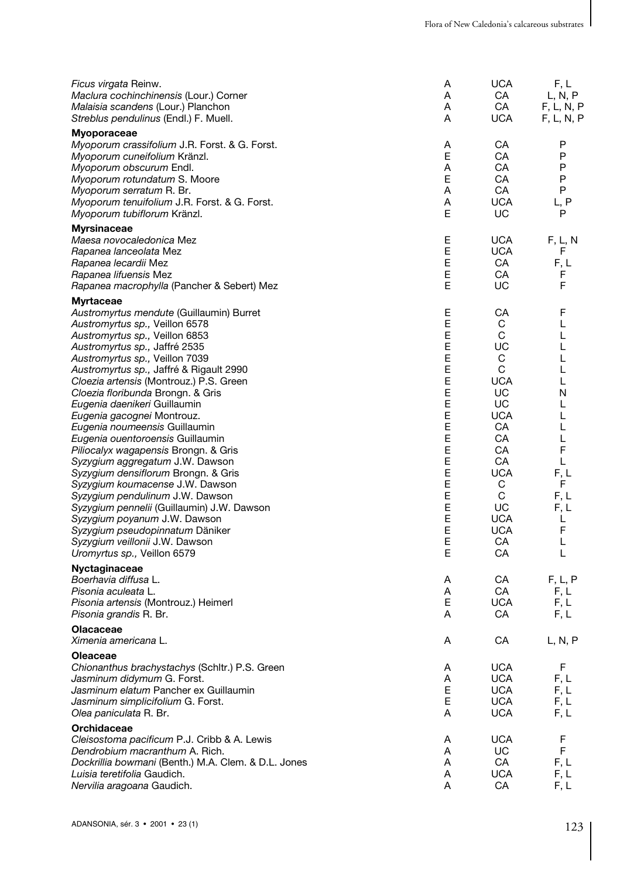| Ficus virgata Reinw.<br>Maclura cochinchinensis (Lour.) Corner<br>Malaisia scandens (Lour.) Planchon<br>Streblus pendulinus (Endl.) F. Muell.                                                                                                                                                                                                                                                                                                                                                                                                                                                                                                                                                                                                                                                                                                      | Α<br>A<br>A<br>A                                                                                           | UCA<br>CA<br>CA<br><b>UCA</b>                                                                                                                                      | F, L<br>L, N, P<br>F, L, N, P<br>F, L, N, P                                                                       |
|----------------------------------------------------------------------------------------------------------------------------------------------------------------------------------------------------------------------------------------------------------------------------------------------------------------------------------------------------------------------------------------------------------------------------------------------------------------------------------------------------------------------------------------------------------------------------------------------------------------------------------------------------------------------------------------------------------------------------------------------------------------------------------------------------------------------------------------------------|------------------------------------------------------------------------------------------------------------|--------------------------------------------------------------------------------------------------------------------------------------------------------------------|-------------------------------------------------------------------------------------------------------------------|
| <b>Myoporaceae</b><br>Myoporum crassifolium J.R. Forst. & G. Forst.<br>Myoporum cuneifolium Kränzl.<br>Myoporum obscurum Endl.<br>Myoporum rotundatum S. Moore<br>Myoporum serratum R. Br.<br>Myoporum tenuifolium J.R. Forst. & G. Forst.<br>Myoporum tubiflorum Kränzl.                                                                                                                                                                                                                                                                                                                                                                                                                                                                                                                                                                          | Α<br>E<br>A<br>E<br>Α<br>Α<br>E                                                                            | CA<br>CA<br>CA<br>СA<br>CA<br><b>UCA</b><br>UC                                                                                                                     | P<br>P<br>P<br>P<br>P<br>L, P<br>P                                                                                |
| <b>Myrsinaceae</b><br>Maesa novocaledonica Mez<br>Rapanea lanceolata Mez<br>Rapanea lecardii Mez<br>Rapanea lifuensis Mez<br>Rapanea macrophylla (Pancher & Sebert) Mez                                                                                                                                                                                                                                                                                                                                                                                                                                                                                                                                                                                                                                                                            | Ε<br>E<br>E<br>E<br>E                                                                                      | UCA<br>UCA<br>CA<br>СA<br>UC                                                                                                                                       | F, L, N<br>F<br>F, L<br>F<br>F                                                                                    |
| <b>Myrtaceae</b><br>Austromyrtus mendute (Guillaumin) Burret<br>Austromyrtus sp., Veillon 6578<br>Austromyrtus sp., Veillon 6853<br>Austromyrtus sp., Jaffré 2535<br>Austromyrtus sp., Veillon 7039<br>Austromyrtus sp., Jaffré & Rigault 2990<br>Cloezia artensis (Montrouz.) P.S. Green<br>Cloezia floribunda Brongn. & Gris<br>Eugenia daenikeri Guillaumin<br>Eugenia gacognei Montrouz.<br>Eugenia noumeensis Guillaumin<br>Eugenia ouentoroensis Guillaumin<br><i>Piliocalyx wagapensis</i> Brongn. & Gris<br>Syzygium aggregatum J.W. Dawson<br>Syzygium densiflorum Brongn. & Gris<br>Syzygium koumacense J.W. Dawson<br>Syzygium pendulinum J.W. Dawson<br>Syzygium pennelii (Guillaumin) J.W. Dawson<br>Syzygium poyanum J.W. Dawson<br>Syzygium pseudopinnatum Däniker<br>Syzygium veillonii J.W. Dawson<br>Uromyrtus sp., Veillon 6579 | Ε<br>Ε<br>E<br>E<br>E<br>E<br>E<br>E<br>E<br>E<br>E<br>E<br>E<br>E<br>E<br>E<br>Е<br>E<br>Е<br>E<br>E<br>E | СA<br>С<br>С<br>UC<br>С<br>C<br><b>UCA</b><br>UC<br>UC<br><b>UCA</b><br>CA<br>CA<br>СA<br>CA<br><b>UCA</b><br>С<br>C<br>UC<br><b>UCA</b><br><b>UCA</b><br>CA<br>CA | F<br>L<br>L<br>L<br>L<br>L<br>L<br>N<br>L<br>L<br>L<br>L<br>F<br>L<br>F, L<br>F<br>F.L<br>F.L<br>L<br>F<br>Г<br>L |
| Nyctaginaceae<br>Boerhavia diffusa L.<br>Pisonia aculeata L.<br>Pisonia artensis (Montrouz.) Heimerl<br>Pisonia grandis R. Br.                                                                                                                                                                                                                                                                                                                                                                                                                                                                                                                                                                                                                                                                                                                     | Α<br>A<br>Е<br>A                                                                                           | СA<br>CA<br><b>UCA</b><br>CA                                                                                                                                       | F, L, P<br>F, L<br>F, L<br>F, L                                                                                   |
| <b>Olacaceae</b><br><i>Ximenia americana</i> L                                                                                                                                                                                                                                                                                                                                                                                                                                                                                                                                                                                                                                                                                                                                                                                                     | Α                                                                                                          | CA                                                                                                                                                                 | L, N, P                                                                                                           |
| Oleaceae<br>Chionanthus brachystachys (Schltr.) P.S. Green<br>Jasminum didymum G. Forst.<br>Jasminum elatum Pancher ex Guillaumin<br>Jasminum simplicifolium G. Forst.<br>Olea paniculata R. Br.                                                                                                                                                                                                                                                                                                                                                                                                                                                                                                                                                                                                                                                   | Α<br>Α<br>E<br>E<br>A                                                                                      | <b>UCA</b><br><b>UCA</b><br><b>UCA</b><br><b>UCA</b><br><b>UCA</b>                                                                                                 | F<br>F, L<br>F, L<br>F, L<br>F, L                                                                                 |
| Orchidaceae<br>Cleisostoma pacificum P.J. Cribb & A. Lewis<br>Dendrobium macranthum A. Rich.<br>Dockrillia bowmani (Benth.) M.A. Clem. & D.L. Jones<br>Luisia teretifolia Gaudich.<br>Nervilia aragoana Gaudich.                                                                                                                                                                                                                                                                                                                                                                                                                                                                                                                                                                                                                                   | A<br>Α<br>Α<br>Α<br>A                                                                                      | <b>UCA</b><br>UC.<br>CA<br>UCA<br>CA                                                                                                                               | F<br>F<br>F, L<br>F, L<br>F, L                                                                                    |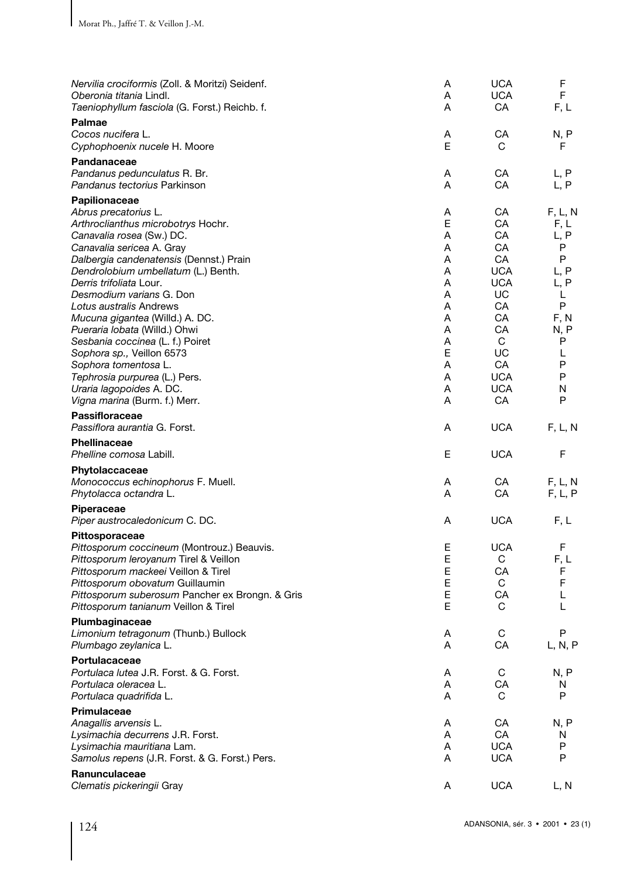| Nervilia crociformis (Zoll. & Moritzi) Seidenf.<br>Oberonia titania Lindl.<br>Taeniophyllum fasciola (G. Forst.) Reichb. f.                                                                                                                                                                                                                                                                                                                                                                                                                                          | Α<br>A<br>A                                                                       | <b>UCA</b><br><b>UCA</b><br>CA                                                                                                    | F<br>F<br>F, L                                                                                            |
|----------------------------------------------------------------------------------------------------------------------------------------------------------------------------------------------------------------------------------------------------------------------------------------------------------------------------------------------------------------------------------------------------------------------------------------------------------------------------------------------------------------------------------------------------------------------|-----------------------------------------------------------------------------------|-----------------------------------------------------------------------------------------------------------------------------------|-----------------------------------------------------------------------------------------------------------|
| Palmae<br>Cocos nucifera L.<br>Cyphophoenix nucele H. Moore                                                                                                                                                                                                                                                                                                                                                                                                                                                                                                          | Α<br>E                                                                            | CА<br>C                                                                                                                           | N, P<br>F                                                                                                 |
| Pandanaceae<br>Pandanus pedunculatus R. Br.<br>Pandanus tectorius Parkinson                                                                                                                                                                                                                                                                                                                                                                                                                                                                                          | Α<br>A                                                                            | CA<br>СA                                                                                                                          | L, P<br>L, P                                                                                              |
| Papilionaceae<br>Abrus precatorius L.<br>Arthroclianthus microbotrys Hochr.<br>Canavalia rosea (Sw.) DC.<br>Canavalia sericea A. Gray<br>Dalbergia candenatensis (Dennst.) Prain<br>Dendrolobium umbellatum (L.) Benth.<br>Derris trifoliata Lour.<br>Desmodium varians G. Don<br>Lotus australis Andrews<br>Mucuna gigantea (Willd.) A. DC.<br>Pueraria lobata (Willd.) Ohwi<br>Sesbania coccinea (L. f.) Poiret<br>Sophora sp., Veillon 6573<br>Sophora tomentosa L.<br>Tephrosia purpurea (L.) Pers.<br>Uraria lagopoides A. DC.<br>Vigna marina (Burm. f.) Merr. | Α<br>E<br>A<br>A<br>A<br>A<br>A<br>A<br>A<br>A<br>A<br>A<br>E<br>A<br>A<br>Α<br>A | CA<br>CA<br>CA<br>CA<br>CA<br><b>UCA</b><br><b>UCA</b><br>UC<br>CA<br>CA<br>CA<br>C<br>UC<br>CA<br><b>UCA</b><br><b>UCA</b><br>CA | F, L, N<br>F, L<br>L, P<br>P<br>P<br>L, P<br>L, P<br>L<br>P<br>F, N<br>N, P<br>P<br>L<br>P<br>P<br>N<br>P |
| Passifloraceae<br>Passiflora aurantia G. Forst.                                                                                                                                                                                                                                                                                                                                                                                                                                                                                                                      | A                                                                                 | <b>UCA</b>                                                                                                                        | F, L, N                                                                                                   |
| Phellinaceae<br>Phelline comosa Labill.                                                                                                                                                                                                                                                                                                                                                                                                                                                                                                                              | Е                                                                                 | <b>UCA</b>                                                                                                                        | F                                                                                                         |
| Phytolaccaceae<br>Monococcus echinophorus F. Muell.<br>Phytolacca octandra L.<br>Piperaceae<br>Piper austrocaledonicum C. DC.                                                                                                                                                                                                                                                                                                                                                                                                                                        | Α<br>A<br>Α                                                                       | CA<br>CA<br><b>UCA</b>                                                                                                            | F, L, N<br>F, L, P<br>F, L                                                                                |
| Pittosporaceae<br>Pittosporum coccineum (Montrouz.) Beauvis.<br>Pittosporum leroyanum Tirel & Veillon<br>Pittosporum mackeei Veillon & Tirel<br>Pittosporum obovatum Guillaumin<br>Pittosporum suberosum Pancher ex Brongn. & Gris<br>Pittosporum tanianum Veillon & Tirel                                                                                                                                                                                                                                                                                           | Ε<br>E<br>E<br>E<br>E<br>E                                                        | <b>UCA</b><br>C<br>CA<br>C<br>СA<br>C                                                                                             | F<br>F, L<br>F<br>F<br>L<br>L                                                                             |
| Plumbaginaceae<br>Limonium tetragonum (Thunb.) Bullock<br>Plumbago zeylanica L.                                                                                                                                                                                                                                                                                                                                                                                                                                                                                      | Α<br>Α                                                                            | C<br>CA                                                                                                                           | P<br>L, N, P                                                                                              |
| Portulacaceae<br>Portulaca lutea J.R. Forst. & G. Forst.<br>Portulaca oleracea L.<br>Portulaca quadrifida L.                                                                                                                                                                                                                                                                                                                                                                                                                                                         | Α<br>Α<br>A                                                                       | C<br>СA<br>C                                                                                                                      | N, P<br>N<br>P                                                                                            |
| Primulaceae<br>Anagallis arvensis L.<br>Lysimachia decurrens J.R. Forst.<br>Lysimachia mauritiana Lam.<br>Samolus repens (J.R. Forst. & G. Forst.) Pers.                                                                                                                                                                                                                                                                                                                                                                                                             | Α<br>A<br>A<br>A                                                                  | CA<br>CA<br><b>UCA</b><br><b>UCA</b>                                                                                              | N, P<br>N<br>Ρ<br>P                                                                                       |
| Ranunculaceae<br>Clematis pickeringii Gray                                                                                                                                                                                                                                                                                                                                                                                                                                                                                                                           | Α                                                                                 | <b>UCA</b>                                                                                                                        | L, N                                                                                                      |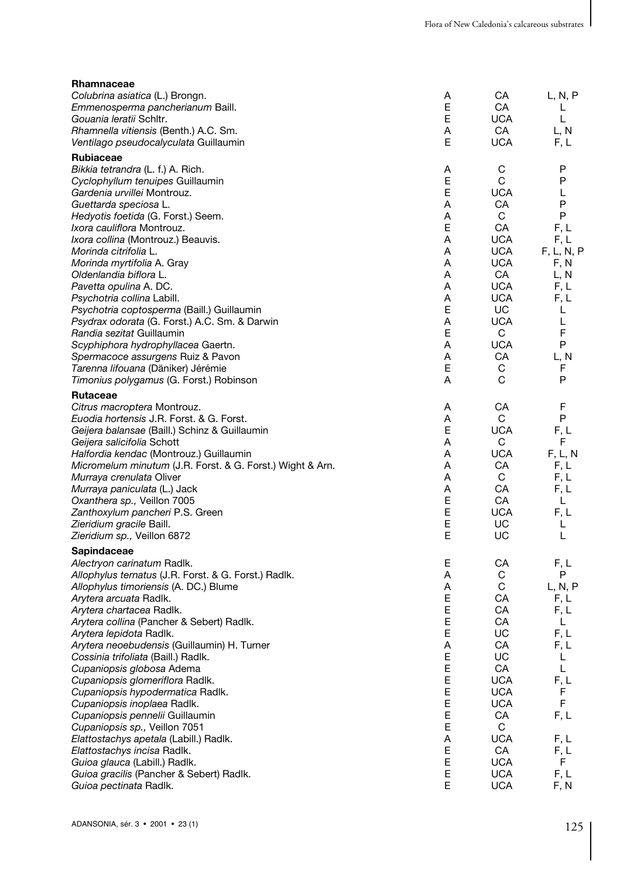| Rhamnaceae                                                |    |            |            |
|-----------------------------------------------------------|----|------------|------------|
| Colubrina asiatica (L.) Brongn.                           | Α  | CА         | L, N, P    |
| Emmenosperma pancherianum Baill.                          | E  | СA         | L          |
| Gouania leratii Schltr.                                   | E  | <b>UCA</b> | L          |
| Rhamnella vitiensis (Benth.) A.C. Sm.                     | Α  | CA         | L, N       |
| Ventilago pseudocalyculata Guillaumin                     | Е  | <b>UCA</b> | F, L       |
| <b>Rubiaceae</b>                                          |    |            |            |
| Bikkia tetrandra (L. f.) A. Rich.                         | Α  | С          | P          |
| Cyclophyllum tenuipes Guillaumin                          | E  | C          | P          |
| Gardenia urvillei Montrouz.                               | E  | <b>UCA</b> | L          |
| Guettarda speciosa L.                                     | Α  | CA         | P          |
| Hedyotis foetida (G. Forst.) Seem.                        | Α  | C          | P          |
| <i>Ixora cauliflora Montrouz.</i>                         | Ε  | CA         | F, L       |
| Ixora collina (Montrouz.) Beauvis.                        | Α  | <b>UCA</b> | F, L       |
| Morinda citrifolia L.                                     | Α  | <b>UCA</b> | F, L, N, P |
| Morinda myrtifolia A. Gray                                | Α  | <b>UCA</b> | F, N       |
| Oldenlandia biflora L.                                    | A  | CA         | L, N       |
| Pavetta opulina A. DC.                                    | A  | <b>UCA</b> | F, L       |
| Psychotria collina Labill.                                | A  | <b>UCA</b> | F, L       |
| Psychotria coptosperma (Baill.) Guillaumin                | Е  | UC         | L          |
| Psydrax odorata (G. Forst.) A.C. Sm. & Darwin             | Α  | <b>UCA</b> | L          |
| Randia sezitat Guillaumin                                 | Е  | C          | F          |
| Scyphiphora hydrophyllacea Gaertn.                        | Α  | <b>UCA</b> | P          |
| Spermacoce assurgens Ruiz & Pavon                         | A  | CA         | L, N       |
| Tarenna lifouana (Däniker) Jérémie                        | Е  | С          | F<br>P     |
| Timonius polygamus (G. Forst.) Robinson                   | Α  | С          |            |
| Rutaceae                                                  |    |            |            |
| Citrus macroptera Montrouz.                               | A  | СA         | F          |
| Euodia hortensis J.R. Forst. & G. Forst.                  | Α  | C          | P          |
| Geijera balansae (Baill.) Schinz & Guillaumin             | Е  | <b>UCA</b> | F, L       |
| Geijera salicifolia Schott                                | A  | C          | F          |
| Halfordia kendac (Montrouz.) Guillaumin                   | Α  | <b>UCA</b> | F, L, N    |
| Micromelum minutum (J.R. Forst. & G. Forst.) Wight & Arn. | Α  | СA         | F, L       |
| Murraya crenulata Oliver                                  | Α  | C          | F, L       |
| Murraya paniculata (L.) Jack                              | A  | CA         | F, L       |
| Oxanthera sp., Veillon 7005                               | Е  | CA         | L          |
| Zanthoxylum pancheri P.S. Green                           | E  | <b>UCA</b> | F, L       |
| Zieridium gracile Baill.                                  | E  | UC         | L          |
| <i>Zieridium sp.,</i> Veillon 6872                        | E  | UC         | Г          |
| Sapindaceae                                               |    |            |            |
| Alectryon carinatum Radlk.                                | E. | СA         | F, L       |
| Allophylus ternatus (J.R. Forst. & G. Forst.) Radlk.      | Α  | С          | Ρ          |
| Allophylus timoriensis (A. DC.) Blume                     | Α  | C          | L, N, P    |
| Arytera arcuata Radlk.                                    | E  | СA         | F, L       |
| Arytera chartacea Radlk.                                  | Ε  | СA         | F, L       |
| Arytera collina (Pancher & Sebert) Radlk.                 | E  | СA         | L          |
| Arytera lepidota Radlk.                                   | E  | UC         | F, L       |
| Arytera neoebudensis (Guillaumin) H. Turner               | A  | CA         | F, L       |
| Cossinia trifoliata (Baill.) Radlk.                       | Ε  | UC         | L          |
| Cupaniopsis globosa Adema                                 | E  | CA         | Г          |
| Cupaniopsis glomeriflora Radlk.                           | Е  | <b>UCA</b> | F, L       |
| Cupaniopsis hypodermatica Radlk.                          | Е  | <b>UCA</b> | F          |
| Cupaniopsis inoplaea Radlk.                               | Е  | <b>UCA</b> | F          |
| Cupaniopsis pennelii Guillaumin                           | Е  | CA         | F, L       |
| Cupaniopsis sp., Veillon 7051                             | Е  | C          |            |
| Elattostachys apetala (Labill.) Radlk.                    | Α  | <b>UCA</b> | F, L       |
| Elattostachys incisa Radlk.                               | Ε  | CA         | F, L       |
| Guioa glauca (Labill.) Radlk.                             | Ε  | <b>UCA</b> | F.         |
| Guioa gracilis (Pancher & Sebert) Radlk.                  | Е  | <b>UCA</b> | F, L       |
| Guioa pectinata Radlk.                                    | E  | <b>UCA</b> | F, N       |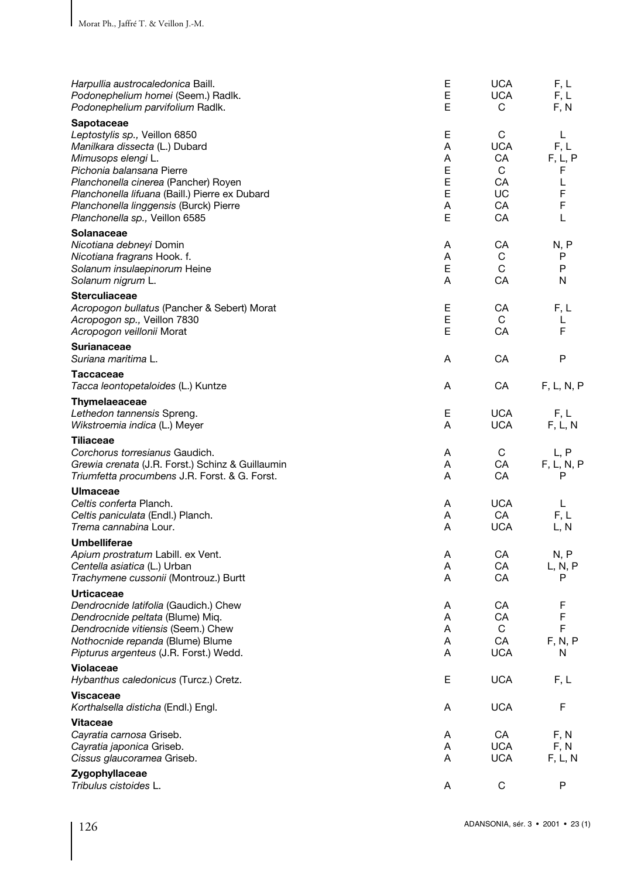| Harpullia austrocaledonica Baill.<br>Podonephelium homei (Seem.) Radlk.<br>Podonephelium parvifolium Radlk.                                                                                                                                                                                            | Ε<br>E<br>Е                          | <b>UCA</b><br><b>UCA</b><br>С                      | F, L<br>F, L<br>F, N                          |
|--------------------------------------------------------------------------------------------------------------------------------------------------------------------------------------------------------------------------------------------------------------------------------------------------------|--------------------------------------|----------------------------------------------------|-----------------------------------------------|
| Sapotaceae<br>Leptostylis sp., Veillon 6850<br>Manilkara dissecta (L.) Dubard<br>Mimusops elengi L.<br>Pichonia balansana Pierre<br>Planchonella cinerea (Pancher) Royen<br>Planchonella lifuana (Baill.) Pierre ex Dubard<br>Planchonella linggensis (Burck) Pierre<br>Planchonella sp., Veillon 6585 | E<br>A<br>A<br>E<br>E<br>E<br>A<br>E | С<br><b>UCA</b><br>CA<br>C<br>CA<br>UC<br>CA<br>CA | L<br>F, L<br>F, L, P<br>F<br>L<br>F<br>F<br>L |
| Solanaceae<br>Nicotiana debneyi Domin<br>Nicotiana fragrans Hook. f.<br>Solanum insulaepinorum Heine<br>Solanum nigrum L.                                                                                                                                                                              | Α<br>A<br>E<br>A                     | СA<br>C<br>C<br>CA                                 | N, P<br>P<br>P<br>N                           |
| <b>Sterculiaceae</b><br>Acropogon bullatus (Pancher & Sebert) Morat<br>Acropogon sp., Veillon 7830<br>Acropogon veillonii Morat                                                                                                                                                                        | Е<br>E<br>E                          | CA<br>C<br>CA                                      | F, L<br>L<br>F.                               |
| <b>Surianaceae</b><br>Suriana maritima L.                                                                                                                                                                                                                                                              | Α                                    | CA                                                 | P                                             |
| Taccaceae<br>Tacca leontopetaloides (L.) Kuntze                                                                                                                                                                                                                                                        | A                                    | CA                                                 | F, L, N, P                                    |
| Thymelaeaceae<br>Lethedon tannensis Spreng.<br>Wikstroemia indica (L.) Meyer                                                                                                                                                                                                                           | Е<br>Α                               | <b>UCA</b><br><b>UCA</b>                           | F, L<br>F, L, N                               |
| <b>Tiliaceae</b><br>Corchorus torresianus Gaudich.<br>Grewia crenata (J.R. Forst.) Schinz & Guillaumin<br>Triumfetta procumbens J.R. Forst. & G. Forst.                                                                                                                                                | Α<br>A<br>A                          | C<br>CA<br>CA                                      | L, P<br>F, L, N, P<br>P                       |
| <b>Ulmaceae</b><br>Celtis conferta Planch.<br>Celtis paniculata (Endl.) Planch.<br>Trema cannabina Lour.                                                                                                                                                                                               | Α<br>Α<br>A                          | <b>UCA</b><br>CA<br><b>UCA</b>                     | L<br>F, L<br>L, N                             |
| Umbelliferae<br>Apium prostratum Labill. ex Vent.<br>Centella asiatica (L.) Urban<br>Trachymene cussonii (Montrouz.) Burtt                                                                                                                                                                             | Α<br>A<br>A                          | CA<br>CA<br>CA                                     | N, P<br>L, N, P<br>P                          |
| <b>Urticaceae</b><br>Dendrocnide latifolia (Gaudich.) Chew<br>Dendrocnide peltata (Blume) Miq.<br>Dendrocnide vitiensis (Seem.) Chew<br>Nothocnide repanda (Blume) Blume<br>Pipturus argenteus (J.R. Forst.) Wedd.                                                                                     | A<br>A<br>Α<br>Α<br>Α                | CA<br>CA<br>С<br>CA<br><b>UCA</b>                  | F<br>F<br>F<br>F, N, P<br>N                   |
| Violaceae<br>Hybanthus caledonicus (Turcz.) Cretz.                                                                                                                                                                                                                                                     | Е                                    | <b>UCA</b>                                         | F, L                                          |
| <b>Viscaceae</b><br>Korthalsella disticha (Endl.) Engl.                                                                                                                                                                                                                                                | Α                                    | <b>UCA</b>                                         | F                                             |
| <b>Vitaceae</b>                                                                                                                                                                                                                                                                                        |                                      |                                                    |                                               |
| Cayratia carnosa Griseb.<br>Cayratia japonica Griseb.<br>Cissus glaucoramea Griseb.                                                                                                                                                                                                                    | Α<br>A<br>A                          | CA<br><b>UCA</b><br><b>UCA</b>                     | F, N<br>F, N<br>F, L, N                       |
| Zygophyllaceae<br>Tribulus cistoides L.                                                                                                                                                                                                                                                                | Α                                    | C                                                  | P                                             |